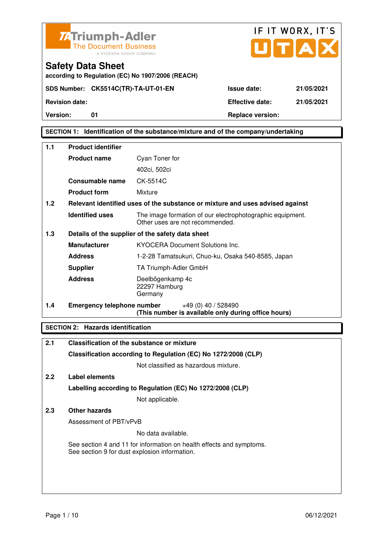



# **SECTION 1: Identification of the substance/mixture and of the company/undertaking**

| 1.1 | <b>Product identifier</b>         |                                                                                              |  |  |
|-----|-----------------------------------|----------------------------------------------------------------------------------------------|--|--|
|     | <b>Product name</b>               | Cyan Toner for                                                                               |  |  |
|     |                                   | 402ci, 502ci                                                                                 |  |  |
|     | Consumable name                   | CK-5514C                                                                                     |  |  |
|     | <b>Product form</b>               | Mixture                                                                                      |  |  |
| 1.2 |                                   | Relevant identified uses of the substance or mixture and uses advised against                |  |  |
|     | <b>Identified uses</b>            | The image formation of our electrophotographic equipment.<br>Other uses are not recommended. |  |  |
| 1.3 |                                   | Details of the supplier of the safety data sheet                                             |  |  |
|     | <b>Manufacturer</b>               | <b>KYOCERA Document Solutions Inc.</b>                                                       |  |  |
|     | <b>Address</b>                    | 1-2-28 Tamatsukuri, Chuo-ku, Osaka 540-8585, Japan                                           |  |  |
|     | <b>Supplier</b>                   | TA Triumph-Adler GmbH                                                                        |  |  |
|     | <b>Address</b>                    | Deelbögenkamp 4c<br>22297 Hamburg<br>Germany                                                 |  |  |
| 1.4 | <b>Emergency telephone number</b> | +49 (0) 40 / 528490<br>(This number is available only during office hours)                   |  |  |

# **SECTION 2: Hazards identification**

| 2.1 | Classification of the substance or mixture                                                                            |
|-----|-----------------------------------------------------------------------------------------------------------------------|
|     | Classification according to Regulation (EC) No 1272/2008 (CLP)                                                        |
|     | Not classified as hazardous mixture.                                                                                  |
| 2.2 | Label elements                                                                                                        |
|     | Labelling according to Regulation (EC) No 1272/2008 (CLP)                                                             |
|     | Not applicable.                                                                                                       |
| 2.3 | Other hazards                                                                                                         |
|     | Assessment of PBT/vPvB                                                                                                |
|     | No data available.                                                                                                    |
|     | See section 4 and 11 for information on health effects and symptoms.<br>See section 9 for dust explosion information. |
|     |                                                                                                                       |
|     |                                                                                                                       |
|     |                                                                                                                       |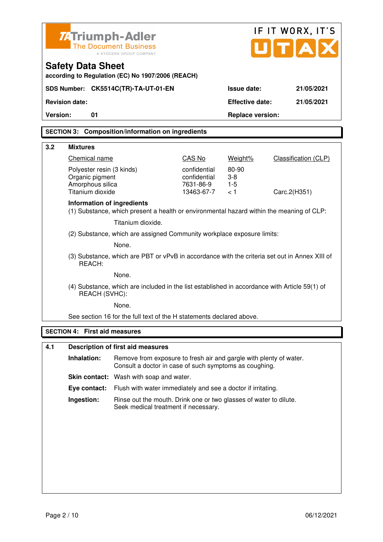| <b>ZATriumph-Adler</b><br><b>The Document Business</b><br>A KYOCERA GROUP COMPANY |                                                                                                                              |                         | IF IT WORX, IT'S<br>UTA |                             |  |  |
|-----------------------------------------------------------------------------------|------------------------------------------------------------------------------------------------------------------------------|-------------------------|-------------------------|-----------------------------|--|--|
| <b>Safety Data Sheet</b><br>according to Regulation (EC) No 1907/2006 (REACH)     |                                                                                                                              |                         |                         |                             |  |  |
| SDS Number: CK5514C(TR)-TA-UT-01-EN                                               |                                                                                                                              |                         | Issue date:             | 21/05/2021                  |  |  |
| <b>Revision date:</b>                                                             |                                                                                                                              |                         | <b>Effective date:</b>  | 21/05/2021                  |  |  |
| <b>Version:</b><br>01                                                             |                                                                                                                              |                         | <b>Replace version:</b> |                             |  |  |
|                                                                                   | <b>SECTION 3: Composition/information on ingredients</b>                                                                     |                         |                         |                             |  |  |
|                                                                                   |                                                                                                                              |                         |                         |                             |  |  |
| 3.2<br><b>Mixtures</b><br>Chemical name                                           |                                                                                                                              | CAS No                  | Weight%                 | <b>Classification (CLP)</b> |  |  |
| Polyester resin (3 kinds)                                                         |                                                                                                                              | confidential            | 80-90                   |                             |  |  |
| Organic pigment                                                                   |                                                                                                                              | confidential            | $3-8$                   |                             |  |  |
| Amorphous silica<br>Titanium dioxide                                              |                                                                                                                              | 7631-86-9<br>13463-67-7 | $1-5$<br>< 1            | Carc.2(H351)                |  |  |
| <b>Information of ingredients</b>                                                 | (1) Substance, which present a health or environmental hazard within the meaning of CLP:                                     |                         |                         |                             |  |  |
|                                                                                   | Titanium dioxide.                                                                                                            |                         |                         |                             |  |  |
|                                                                                   | (2) Substance, which are assigned Community workplace exposure limits:                                                       |                         |                         |                             |  |  |
|                                                                                   | None.                                                                                                                        |                         |                         |                             |  |  |
| REACH:                                                                            | (3) Substance, which are PBT or vPvB in accordance with the criteria set out in Annex XIII of                                |                         |                         |                             |  |  |
|                                                                                   | None.                                                                                                                        |                         |                         |                             |  |  |
| REACH (SVHC):                                                                     | (4) Substance, which are included in the list established in accordance with Article 59(1) of                                |                         |                         |                             |  |  |
|                                                                                   | None.                                                                                                                        |                         |                         |                             |  |  |
|                                                                                   | See section 16 for the full text of the H statements declared above.                                                         |                         |                         |                             |  |  |
| <b>SECTION 4: First aid measures</b>                                              |                                                                                                                              |                         |                         |                             |  |  |
| 4.1                                                                               | <b>Description of first aid measures</b>                                                                                     |                         |                         |                             |  |  |
| Inhalation:                                                                       | Remove from exposure to fresh air and gargle with plenty of water.<br>Consult a doctor in case of such symptoms as coughing. |                         |                         |                             |  |  |
|                                                                                   | Skin contact: Wash with soap and water.                                                                                      |                         |                         |                             |  |  |
| Eye contact:                                                                      | Flush with water immediately and see a doctor if irritating.                                                                 |                         |                         |                             |  |  |
| Ingestion:                                                                        | Rinse out the mouth. Drink one or two glasses of water to dilute.<br>Seek medical treatment if necessary.                    |                         |                         |                             |  |  |
|                                                                                   |                                                                                                                              |                         |                         |                             |  |  |
|                                                                                   |                                                                                                                              |                         |                         |                             |  |  |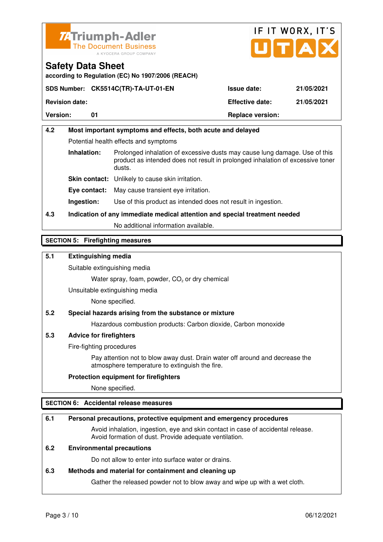



**according to Regulation (EC) No 1907/2006 (REACH)**

|                       | SDS Number: CK5514C(TR)-TA-UT-01-EN | <b>Issue date:</b>      | 21/05/2021 |
|-----------------------|-------------------------------------|-------------------------|------------|
| <b>Revision date:</b> |                                     | <b>Effective date:</b>  | 21/05/2021 |
| <b>Version:</b>       |                                     | <b>Replace version:</b> |            |

# **4.2 Most important symptoms and effects, both acute and delayed**  Potential health effects and symptoms **Inhalation:** Prolonged inhalation of excessive dusts may cause lung damage. Use of this product as intended does not result in prolonged inhalation of excessive toner dusts. **Skin contact:** Unlikely to cause skin irritation. **Eye contact:** May cause transient eye irritation.

**Ingestion:** Use of this product as intended does not result in ingestion.

# **4.3 Indication of any immediate medical attention and special treatment needed**

No additional information available.

# **SECTION 5: Firefighting measures**

# **5.1 Extinguishing media**

Suitable extinguishing media

Water spray, foam, powder,  $CO<sub>2</sub>$  or dry chemical

Unsuitable extinguishing media

None specified.

# **5.2 Special hazards arising from the substance or mixture**

Hazardous combustion products: Carbon dioxide, Carbon monoxide

# **5.3 Advice for firefighters**

Fire-fighting procedures

 Pay attention not to blow away dust. Drain water off around and decrease the atmosphere temperature to extinguish the fire.

# **Protection equipment for firefighters**

None specified.

# **SECTION 6: Accidental release measures**

#### **6.1 Personal precautions, protective equipment and emergency procedures**

 Avoid inhalation, ingestion, eye and skin contact in case of accidental release. Avoid formation of dust. Provide adequate ventilation.

# **6.2 Environmental precautions**

Do not allow to enter into surface water or drains.

#### **6.3 Methods and material for containment and cleaning up**

Gather the released powder not to blow away and wipe up with a wet cloth.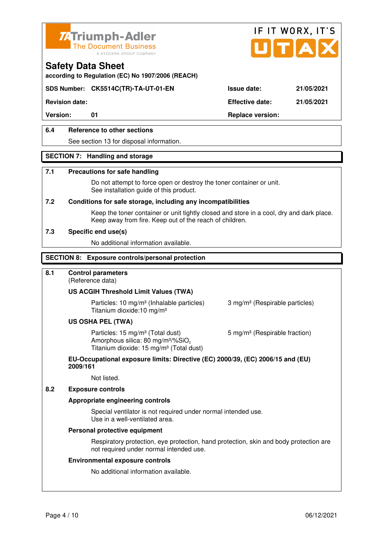



**according to Regulation (EC) No 1907/2006 (REACH)**

# **SDS Number: CK5514C(TR)-TA-UT-01-EN Issue date: 21/05/2021**

**Revision date: Effective date: 21/05/2021** 

Version: 01 01 **Replace version:** 

# **6.4 Reference to other sections**

See section 13 for disposal information.

#### **SECTION 7: Handling and storage**

#### **7.1 Precautions for safe handling**

 Do not attempt to force open or destroy the toner container or unit. See installation guide of this product.

#### **7.2 Conditions for safe storage, including any incompatibilities**

Keep the toner container or unit tightly closed and store in a cool, dry and dark place. Keep away from fire. Keep out of the reach of children.

#### **7.3 Specific end use(s)**

No additional information available.

#### **SECTION 8: Exposure controls/personal protection**

#### **8.1 Control parameters**

(Reference data)

#### **US ACGIH Threshold Limit Values (TWA)**

**Particles: 10 mg/m<sup>3</sup> (Inhalable particles) 3 mg/m<sup>3</sup> (Respirable particles)** Titanium dioxide:10 mg/m³

#### **US OSHA PEL (TWA)**

Particles: 15 mg/m<sup>3</sup> (Total dust) 5 mg/m<sup>3</sup> (Respirable fraction) Amorphous silica: 80 mg/m $3\%$ SiO<sub>2</sub> Titanium dioxide: 15 mg/m<sup>3</sup> (Total dust)

#### **EU-Occupational exposure limits: Directive (EC) 2000/39, (EC) 2006/15 and (EU) 2009/161**

Not listed.

#### **8.2 Exposure controls**

#### **Appropriate engineering controls**

 Special ventilator is not required under normal intended use. Use in a well-ventilated area.

#### **Personal protective equipment**

 Respiratory protection, eye protection, hand protection, skin and body protection are not required under normal intended use.

#### **Environmental exposure controls**

No additional information available.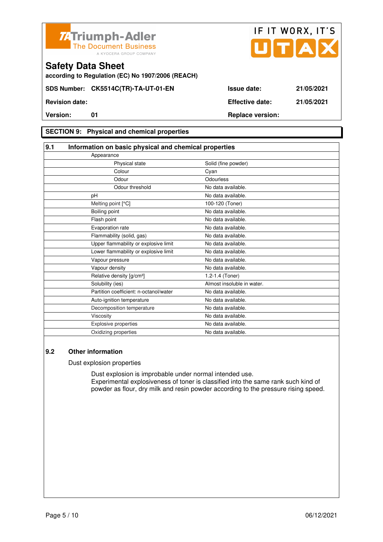



**according to Regulation (EC) No 1907/2006 (REACH)**

# **SECTION 9: Physical and chemical properties**

| 9.1                                   | Information on basic physical and chemical properties |                            |  |
|---------------------------------------|-------------------------------------------------------|----------------------------|--|
| Appearance                            |                                                       |                            |  |
|                                       | Physical state                                        | Solid (fine powder)        |  |
|                                       | Colour                                                | Cyan                       |  |
|                                       | Odour                                                 | Odourless                  |  |
|                                       | Odour threshold                                       | No data available.         |  |
| pH                                    |                                                       | No data available.         |  |
| Melting point [°C]                    |                                                       | 100-120 (Toner)            |  |
| Boiling point                         |                                                       | No data available.         |  |
| Flash point                           |                                                       | No data available.         |  |
| Evaporation rate                      |                                                       | No data available.         |  |
| Flammability (solid, gas)             |                                                       | No data available.         |  |
|                                       | Upper flammability or explosive limit                 | No data available.         |  |
|                                       | Lower flammability or explosive limit                 | No data available.         |  |
| Vapour pressure                       |                                                       | No data available.         |  |
| Vapour density                        |                                                       | No data available.         |  |
| Relative density [g/cm <sup>3</sup> ] |                                                       | 1.2-1.4 (Toner)            |  |
| Solubility (ies)                      |                                                       | Almost insoluble in water. |  |
|                                       | Partition coefficient: n-octanol/water                | No data available.         |  |
| Auto-ignition temperature             |                                                       | No data available.         |  |
|                                       | Decomposition temperature                             | No data available.         |  |
| Viscosity                             |                                                       | No data available.         |  |
| <b>Explosive properties</b>           |                                                       | No data available.         |  |
| Oxidizing properties                  |                                                       | No data available.         |  |

## **9.2 Other information**

Dust explosion properties

 Dust explosion is improbable under normal intended use. Experimental explosiveness of toner is classified into the same rank such kind of powder as flour, dry milk and resin powder according to the pressure rising speed.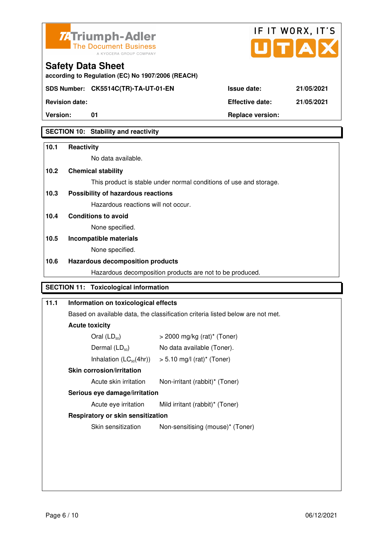



**Version:** 01 **Replace version:** 

**SECTION 10: Stability and reactivity** 

# **10.1 Reactivity**

No data available.

**according to Regulation (EC) No 1907/2006 (REACH)**

# **10.2 Chemical stability**

This product is stable under normal conditions of use and storage.

# **10.3 Possibility of hazardous reactions**

Hazardous reactions will not occur.

**10.4 Conditions to avoid** 

None specified.

# **10.5 Incompatible materials**

None specified.

# **10.6 Hazardous decomposition products**

Hazardous decomposition products are not to be produced.

# **SECTION 11: Toxicological information**

# **11.1 Information on toxicological effects**  Based on available data, the classification criteria listed below are not met. **Acute toxicity**  Oral  $(LD_{50})$   $> 2000$  mg/kg (rat)<sup>\*</sup> (Toner) Dermal  $(LD_{50})$  No data available (Toner). Inhalation  $(LC_{50}(4hr))$  > 5.10 mg/l (rat)\* (Toner)  **Skin corrosion/irritation** Acute skin irritation Non-irritant (rabbit)\* (Toner)  **Serious eye damage/irritation** Acute eye irritation Mild irritant (rabbit)\* (Toner)  **Respiratory or skin sensitization**  Skin sensitization Non-sensitising (mouse)<sup>\*</sup> (Toner)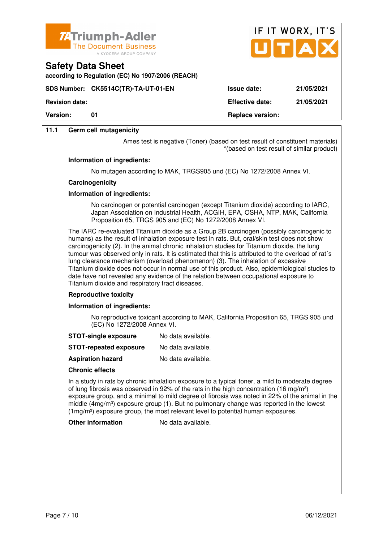

**according to Regulation (EC) No 1907/2006 (REACH)**



**Revision date: Effective date: 21/05/2021** 

**Version:** 01 **Replace version:** 01

**11.1 Germ cell mutagenicity**

**Safety Data Sheet** 

Ames test is negative (Toner) (based on test result of constituent materials) \*(based on test result of similar product)

#### **Information of ingredients:**

No mutagen according to MAK, TRGS905 und (EC) No 1272/2008 Annex VI.

#### **Carcinogenicity**

### **Information of ingredients:**

 No carcinogen or potential carcinogen (except Titanium dioxide) according to IARC, Japan Association on Industrial Health, ACGIH, EPA, OSHA, NTP, MAK, California Proposition 65, TRGS 905 and (EC) No 1272/2008 Annex VI.

 The IARC re-evaluated Titanium dioxide as a Group 2B carcinogen (possibly carcinogenic to humans) as the result of inhalation exposure test in rats. But, oral/skin test does not show carcinogenicity (2). In the animal chronic inhalation studies for Titanium dioxide, the lung tumour was observed only in rats. It is estimated that this is attributed to the overload of rat´s lung clearance mechanism (overload phenomenon) (3). The inhalation of excessive Titanium dioxide does not occur in normal use of this product. Also, epidemiological studies to date have not revealed any evidence of the relation between occupational exposure to Titanium dioxide and respiratory tract diseases.

#### **Reproductive toxicity**

#### **Information of ingredients:**

 No reproductive toxicant according to MAK, California Proposition 65, TRGS 905 und (EC) No 1272/2008 Annex VI.

- **STOT-single exposure** No data available.
- **STOT-repeated exposure** No data available.
- **Aspiration hazard** No data available.

#### **Chronic effects**

 In a study in rats by chronic inhalation exposure to a typical toner, a mild to moderate degree of lung fibrosis was observed in 92% of the rats in the high concentration (16 mg/m<sup>3</sup>) exposure group, and a minimal to mild degree of fibrosis was noted in 22% of the animal in the middle ( $4mg/m<sup>3</sup>$ ) exposure group (1). But no pulmonary change was reported in the lowest (1mg/m³) exposure group, the most relevant level to potential human exposures.

**Other information** No data available.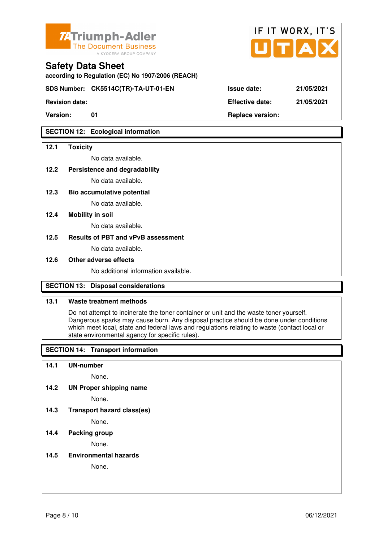

**according to Regulation (EC) No 1907/2006 (REACH)**

**SDS Number: CK5514C(TR)-TA-UT-01-EN Issue date: 21/05/2021** 

**Revision date: Effective date: 21/05/2021** 

# **SECTION 12: Ecological information**

### **12.1 Toxicity**

No data available.

**12.2 Persistence and degradability** 

No data available.

**12.3 Bio accumulative potential** 

No data available.

### **12.4 Mobility in soil**

No data available.

### **12.5 Results of PBT and vPvB assessment**

No data available.

#### **12.6 Other adverse effects**

No additional information available.

# **SECTION 13: Disposal considerations**

### **13.1 Waste treatment methods**

 Do not attempt to incinerate the toner container or unit and the waste toner yourself. Dangerous sparks may cause burn. Any disposal practice should be done under conditions which meet local, state and federal laws and regulations relating to waste (contact local or state environmental agency for specific rules).

# **SECTION 14: Transport information**

#### **14.1 UN-number**

None.

**14.2 UN Proper shipping name** 

None.

**14.3 Transport hazard class(es)** 

None.

# **14.4 Packing group**

None.

**14.5 Environmental hazards** 

None.

| ue date: |  |  | 21/05/20 |  |
|----------|--|--|----------|--|
|          |  |  |          |  |

IF IT WORX, IT'S

Version: 01 01 **Replace version: Replace version:**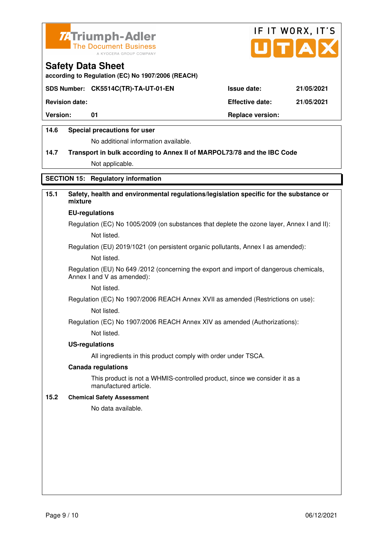



**according to Regulation (EC) No 1907/2006 (REACH)**

# **SDS Number: CK5514C(TR)-TA-UT-01-EN Issue date: 21/05/2021**

**Revision date: Effective date: 21/05/2021** 

Version: 01 01 **Replace version:** 

# **14.6 Special precautions for user**

No additional information available.

# **14.7 Transport in bulk according to Annex II of MARPOL73/78 and the IBC Code**

Not applicable.

# **SECTION 15: Regulatory information**

# **15.1 Safety, health and environmental regulations/legislation specific for the substance or mixture**

#### **EU-regulations**

Regulation (EC) No 1005/2009 (on substances that deplete the ozone layer, Annex I and II): Not listed.

Regulation (EU) 2019/1021 (on persistent organic pollutants, Annex I as amended):

Not listed.

 Regulation (EU) No 649 /2012 (concerning the export and import of dangerous chemicals, Annex I and V as amended):

Not listed.

 Regulation (EC) No 1907/2006 REACH Annex XVII as amended (Restrictions on use): Not listed.

Regulation (EC) No 1907/2006 REACH Annex XIV as amended (Authorizations):

Not listed.

#### **US-regulations**

All ingredients in this product comply with order under TSCA.

#### **Canada regulations**

 This product is not a WHMIS-controlled product, since we consider it as a manufactured article.

#### **15.2 Chemical Safety Assessment**

No data available.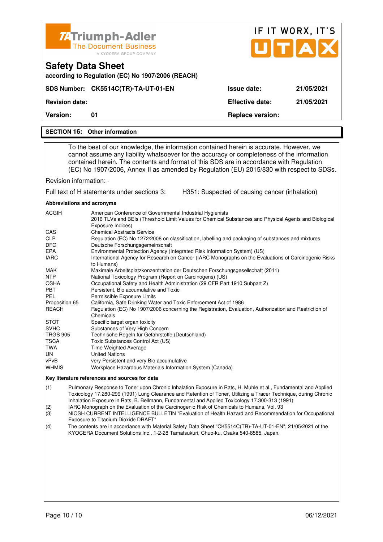|                                                                                                                                                                                                                                                                                                                                                                                                                                                                                                                                              |                                                                                                                                                                                                  |                                                | IF IT WORX, IT'S |
|----------------------------------------------------------------------------------------------------------------------------------------------------------------------------------------------------------------------------------------------------------------------------------------------------------------------------------------------------------------------------------------------------------------------------------------------------------------------------------------------------------------------------------------------|--------------------------------------------------------------------------------------------------------------------------------------------------------------------------------------------------|------------------------------------------------|------------------|
|                                                                                                                                                                                                                                                                                                                                                                                                                                                                                                                                              | <b>74 Triumph-Adler</b><br><b>The Document Business</b>                                                                                                                                          |                                                |                  |
|                                                                                                                                                                                                                                                                                                                                                                                                                                                                                                                                              | A KYOCERA GROUP COMPANY                                                                                                                                                                          |                                                | UTAD             |
| <b>Safety Data Sheet</b>                                                                                                                                                                                                                                                                                                                                                                                                                                                                                                                     |                                                                                                                                                                                                  |                                                |                  |
|                                                                                                                                                                                                                                                                                                                                                                                                                                                                                                                                              | according to Regulation (EC) No 1907/2006 (REACH)                                                                                                                                                |                                                |                  |
|                                                                                                                                                                                                                                                                                                                                                                                                                                                                                                                                              | SDS Number: CK5514C(TR)-TA-UT-01-EN                                                                                                                                                              | <b>Issue date:</b>                             | 21/05/2021       |
| <b>Revision date:</b>                                                                                                                                                                                                                                                                                                                                                                                                                                                                                                                        |                                                                                                                                                                                                  | <b>Effective date:</b>                         | 21/05/2021       |
| Version:                                                                                                                                                                                                                                                                                                                                                                                                                                                                                                                                     | 01                                                                                                                                                                                               | <b>Replace version:</b>                        |                  |
|                                                                                                                                                                                                                                                                                                                                                                                                                                                                                                                                              | <b>SECTION 16: Other information</b>                                                                                                                                                             |                                                |                  |
|                                                                                                                                                                                                                                                                                                                                                                                                                                                                                                                                              |                                                                                                                                                                                                  |                                                |                  |
| To the best of our knowledge, the information contained herein is accurate. However, we<br>cannot assume any liability whatsoever for the accuracy or completeness of the information<br>contained herein. The contents and format of this SDS are in accordance with Regulation<br>(EC) No 1907/2006, Annex II as amended by Regulation (EU) 2015/830 with respect to SDSs.                                                                                                                                                                 |                                                                                                                                                                                                  |                                                |                  |
| Revision information: -                                                                                                                                                                                                                                                                                                                                                                                                                                                                                                                      |                                                                                                                                                                                                  |                                                |                  |
|                                                                                                                                                                                                                                                                                                                                                                                                                                                                                                                                              | Full text of H statements under sections 3:                                                                                                                                                      | H351: Suspected of causing cancer (inhalation) |                  |
| Abbreviations and acronyms                                                                                                                                                                                                                                                                                                                                                                                                                                                                                                                   |                                                                                                                                                                                                  |                                                |                  |
| ACGIH                                                                                                                                                                                                                                                                                                                                                                                                                                                                                                                                        | American Conference of Governmental Industrial Hygienists<br>2016 TLVs and BEIs (Threshold Limit Values for Chemical Substances and Physical Agents and Biological<br>Exposure Indices)          |                                                |                  |
| CAS<br><b>CLP</b><br><b>DFG</b>                                                                                                                                                                                                                                                                                                                                                                                                                                                                                                              | <b>Chemical Abstracts Service</b><br>Regulation (EC) No 1272/2008 on classification, labelling and packaging of substances and mixtures<br>Deutsche Forschungsgemeinschaft                       |                                                |                  |
| <b>EPA</b><br><b>IARC</b>                                                                                                                                                                                                                                                                                                                                                                                                                                                                                                                    | Environmental Protection Agency (Integrated Risk Information System) (US)<br>International Agency for Research on Cancer (IARC Monographs on the Evaluations of Carcinogenic Risks<br>to Humans) |                                                |                  |
| <b>MAK</b><br><b>NTP</b>                                                                                                                                                                                                                                                                                                                                                                                                                                                                                                                     | Maximale Arbeitsplatzkonzentration der Deutschen Forschungsgesellschaft (2011)                                                                                                                   |                                                |                  |
| OSHA                                                                                                                                                                                                                                                                                                                                                                                                                                                                                                                                         | National Toxicology Program (Report on Carcinogens) (US)<br>Occupational Safety and Health Administration (29 CFR Part 1910 Subpart Z)                                                           |                                                |                  |
| <b>PBT</b><br>PEL                                                                                                                                                                                                                                                                                                                                                                                                                                                                                                                            | Persistent, Bio accumulative and Toxic<br>Permissible Exposure Limits                                                                                                                            |                                                |                  |
| Proposition 65                                                                                                                                                                                                                                                                                                                                                                                                                                                                                                                               | California, Safe Drinking Water and Toxic Enforcement Act of 1986                                                                                                                                |                                                |                  |
| <b>REACH</b>                                                                                                                                                                                                                                                                                                                                                                                                                                                                                                                                 | Regulation (EC) No 1907/2006 concerning the Registration, Evaluation, Authorization and Restriction of<br>Chemicals                                                                              |                                                |                  |
| STOT                                                                                                                                                                                                                                                                                                                                                                                                                                                                                                                                         | Specific target organ toxicity                                                                                                                                                                   |                                                |                  |
| <b>SVHC</b>                                                                                                                                                                                                                                                                                                                                                                                                                                                                                                                                  | Substances of Very High Concern                                                                                                                                                                  |                                                |                  |
| TRGS 905                                                                                                                                                                                                                                                                                                                                                                                                                                                                                                                                     | Technische Regeln für Gefahrstoffe (Deutschland)                                                                                                                                                 |                                                |                  |
| TSCA                                                                                                                                                                                                                                                                                                                                                                                                                                                                                                                                         | Toxic Substances Control Act (US)                                                                                                                                                                |                                                |                  |
| TWA<br>UN                                                                                                                                                                                                                                                                                                                                                                                                                                                                                                                                    | Time Weighted Average<br><b>United Nations</b>                                                                                                                                                   |                                                |                  |
| vPvB                                                                                                                                                                                                                                                                                                                                                                                                                                                                                                                                         | very Persistent and very Bio accumulative                                                                                                                                                        |                                                |                  |
| <b>WHMIS</b>                                                                                                                                                                                                                                                                                                                                                                                                                                                                                                                                 | Workplace Hazardous Materials Information System (Canada)                                                                                                                                        |                                                |                  |
|                                                                                                                                                                                                                                                                                                                                                                                                                                                                                                                                              | Key literature references and sources for data                                                                                                                                                   |                                                |                  |
| (1)<br>Pulmonary Response to Toner upon Chronic Inhalation Exposure in Rats, H. Muhle et al., Fundamental and Applied<br>Toxicology 17.280-299 (1991) Lung Clearance and Retention of Toner, Utilizing a Tracer Technique, during Chronic<br>Inhalation Exposure in Rats, B. Bellmann, Fundamental and Applied Toxicology 17.300-313 (1991)<br>IARC Monograph on the Evaluation of the Carcinogenic Risk of Chemicals to Humans, Vol. 93<br>(2)<br>(2)<br>CLI CUIDDENT INTELLICENCE DULLETIN "Evoluction of Hoolth Hoperd and Decemmendation |                                                                                                                                                                                                  |                                                |                  |

- (3) NIOSH CURRENT INTELLIGENCE BULLETIN "Evaluation of Health Hazard and Recommendation for Occupational Exposure to Titanium Dioxide DRAFT"
- (4) The contents are in accordance with Material Safety Data Sheet "CK5514C(TR)-TA-UT-01-EN"; 21/05/2021 of the KYOCERA Document Solutions Inc., 1-2-28 Tamatsukuri, Chuo-ku, Osaka 540-8585, Japan.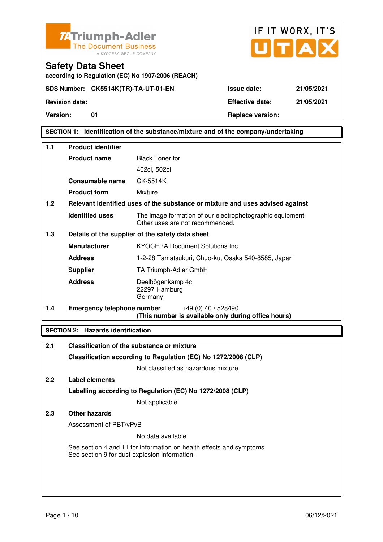



**Safety Data Sheet according to Regulation (EC) No 1907/2006 (REACH)**

# **SECTION 1: Identification of the substance/mixture and of the company/undertaking**

| 1.1 | <b>Product identifier</b>         |                                                                                              |
|-----|-----------------------------------|----------------------------------------------------------------------------------------------|
|     | <b>Product name</b>               | <b>Black Toner for</b>                                                                       |
|     |                                   | 402ci, 502ci                                                                                 |
|     | <b>Consumable name</b>            | CK-5514K                                                                                     |
|     | <b>Product form</b>               | Mixture                                                                                      |
| 1.2 |                                   | Relevant identified uses of the substance or mixture and uses advised against                |
|     | <b>Identified uses</b>            | The image formation of our electrophotographic equipment.<br>Other uses are not recommended. |
| 1.3 |                                   | Details of the supplier of the safety data sheet                                             |
|     | <b>Manufacturer</b>               | <b>KYOCERA Document Solutions Inc.</b>                                                       |
|     | <b>Address</b>                    | 1-2-28 Tamatsukuri, Chuo-ku, Osaka 540-8585, Japan                                           |
|     | <b>Supplier</b>                   | TA Triumph-Adler GmbH                                                                        |
|     | <b>Address</b>                    | Deelbögenkamp 4c<br>22297 Hamburg<br>Germany                                                 |
| 1.4 | <b>Emergency telephone number</b> | $+49(0)$ 40 / 528490<br>(This number is available only during office hours)                  |

# **SECTION 2: Hazards identification**

| 2.1 | Classification of the substance or mixture                                                                            |
|-----|-----------------------------------------------------------------------------------------------------------------------|
|     | Classification according to Regulation (EC) No 1272/2008 (CLP)                                                        |
|     | Not classified as hazardous mixture.                                                                                  |
| 2.2 | Label elements                                                                                                        |
|     | Labelling according to Regulation (EC) No 1272/2008 (CLP)                                                             |
|     | Not applicable.                                                                                                       |
| 2.3 | Other hazards                                                                                                         |
|     | Assessment of PBT/vPvB                                                                                                |
|     | No data available.                                                                                                    |
|     | See section 4 and 11 for information on health effects and symptoms.<br>See section 9 for dust explosion information. |
|     |                                                                                                                       |
|     |                                                                                                                       |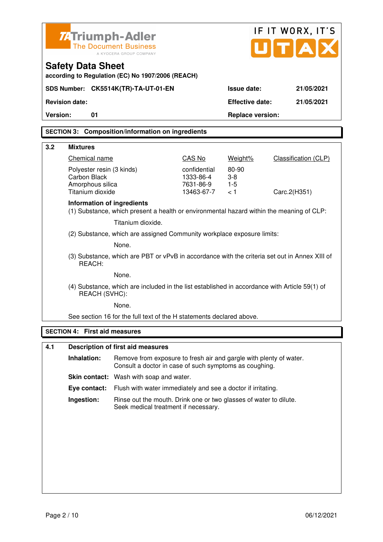| <b>ZATriumph-Adler</b><br>U[T A]<br><b>The Document Business</b><br>A KYOCERA GROUP COMPANY                    |                                                                                                                              | IF IT WORX, IT'S                                     |                                  |                             |
|----------------------------------------------------------------------------------------------------------------|------------------------------------------------------------------------------------------------------------------------------|------------------------------------------------------|----------------------------------|-----------------------------|
| <b>Safety Data Sheet</b>                                                                                       | according to Regulation (EC) No 1907/2006 (REACH)                                                                            |                                                      |                                  |                             |
| SDS Number: CK5514K(TR)-TA-UT-01-EN                                                                            |                                                                                                                              |                                                      | Issue date:                      | 21/05/2021                  |
| <b>Revision date:</b>                                                                                          |                                                                                                                              |                                                      | <b>Effective date:</b>           | 21/05/2021                  |
| <b>Version:</b><br>01                                                                                          |                                                                                                                              |                                                      | <b>Replace version:</b>          |                             |
|                                                                                                                | <b>SECTION 3: Composition/information on ingredients</b>                                                                     |                                                      |                                  |                             |
| 3.2<br><b>Mixtures</b>                                                                                         |                                                                                                                              |                                                      |                                  |                             |
| Chemical name                                                                                                  |                                                                                                                              | CAS No                                               | Weight%                          | <b>Classification (CLP)</b> |
| Polyester resin (3 kinds)<br>Carbon Black<br>Amorphous silica<br>Titanium dioxide                              |                                                                                                                              | confidential<br>1333-86-4<br>7631-86-9<br>13463-67-7 | 80-90<br>$3 - 8$<br>$1-5$<br>< 1 | Carc.2(H351)                |
| Information of ingredients                                                                                     | (1) Substance, which present a health or environmental hazard within the meaning of CLP:<br>Titanium dioxide.                |                                                      |                                  |                             |
|                                                                                                                | (2) Substance, which are assigned Community workplace exposure limits:                                                       |                                                      |                                  |                             |
|                                                                                                                | None.                                                                                                                        |                                                      |                                  |                             |
| REACH:                                                                                                         | (3) Substance, which are PBT or vPvB in accordance with the criteria set out in Annex XIII of                                |                                                      |                                  |                             |
|                                                                                                                | None.                                                                                                                        |                                                      |                                  |                             |
| (4) Substance, which are included in the list established in accordance with Article 59(1) of<br>REACH (SVHC): |                                                                                                                              |                                                      |                                  |                             |
|                                                                                                                | None.                                                                                                                        |                                                      |                                  |                             |
|                                                                                                                | See section 16 for the full text of the H statements declared above.                                                         |                                                      |                                  |                             |
| <b>SECTION 4: First aid measures</b>                                                                           |                                                                                                                              |                                                      |                                  |                             |
| 4.1                                                                                                            | <b>Description of first aid measures</b>                                                                                     |                                                      |                                  |                             |
| Inhalation:                                                                                                    | Remove from exposure to fresh air and gargle with plenty of water.<br>Consult a doctor in case of such symptoms as coughing. |                                                      |                                  |                             |
|                                                                                                                | Skin contact: Wash with soap and water.                                                                                      |                                                      |                                  |                             |
| Eye contact:                                                                                                   | Flush with water immediately and see a doctor if irritating.                                                                 |                                                      |                                  |                             |
| Ingestion:                                                                                                     | Rinse out the mouth. Drink one or two glasses of water to dilute.<br>Seek medical treatment if necessary.                    |                                                      |                                  |                             |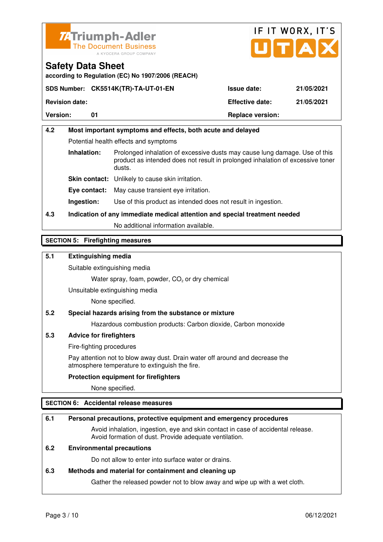



**according to Regulation (EC) No 1907/2006 (REACH)**

|                       | SDS Number: CK5514K(TR)-TA-UT-01-EN | <b>Issue date:</b>      | 21/05/2021 |
|-----------------------|-------------------------------------|-------------------------|------------|
| <b>Revision date:</b> |                                     | <b>Effective date:</b>  | 21/05/2021 |
| <b>Version:</b>       |                                     | <b>Replace version:</b> |            |

# **4.2 Most important symptoms and effects, both acute and delayed**  Potential health effects and symptoms **Inhalation:** Prolonged inhalation of excessive dusts may cause lung damage. Use of this product as intended does not result in prolonged inhalation of excessive toner dusts. **Skin contact:** Unlikely to cause skin irritation. **Eye contact:** May cause transient eye irritation.

**Ingestion:** Use of this product as intended does not result in ingestion.

# **4.3 Indication of any immediate medical attention and special treatment needed**

No additional information available.

# **SECTION 5: Firefighting measures**

# **5.1 Extinguishing media**

Suitable extinguishing media

Water spray, foam, powder,  $CO<sub>2</sub>$  or dry chemical

Unsuitable extinguishing media

None specified.

# **5.2 Special hazards arising from the substance or mixture**

Hazardous combustion products: Carbon dioxide, Carbon monoxide

#### **5.3 Advice for firefighters**

Fire-fighting procedures

 Pay attention not to blow away dust. Drain water off around and decrease the atmosphere temperature to extinguish the fire.

#### **Protection equipment for firefighters**

None specified.

# **SECTION 6: Accidental release measures**

#### **6.1 Personal precautions, protective equipment and emergency procedures**

 Avoid inhalation, ingestion, eye and skin contact in case of accidental release. Avoid formation of dust. Provide adequate ventilation.

# **6.2 Environmental precautions**

Do not allow to enter into surface water or drains.

#### **6.3 Methods and material for containment and cleaning up**

Gather the released powder not to blow away and wipe up with a wet cloth.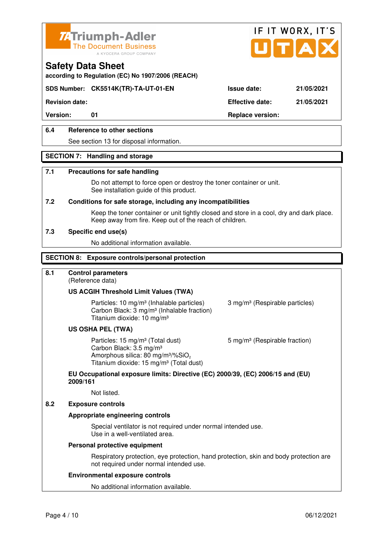



**according to Regulation (EC) No 1907/2006 (REACH)**

# **SDS Number: CK5514K(TR)-TA-UT-01-EN Issue date: 21/05/2021**

**Revision date: Effective date: 21/05/2021** 

Version: 01 01 **Replace version:** 

# **6.4 Reference to other sections**

See section 13 for disposal information.

#### **SECTION 7: Handling and storage**

#### **7.1 Precautions for safe handling**

 Do not attempt to force open or destroy the toner container or unit. See installation guide of this product.

#### **7.2 Conditions for safe storage, including any incompatibilities**

Keep the toner container or unit tightly closed and store in a cool, dry and dark place. Keep away from fire. Keep out of the reach of children.

#### **7.3 Specific end use(s)**

No additional information available.

#### **SECTION 8: Exposure controls/personal protection**

# **8.1 Control parameters**

(Reference data)

#### **US ACGIH Threshold Limit Values (TWA)**

Particles: 10 mg/m<sup>3</sup> (Inhalable particles) 3 mg/m<sup>3</sup> (Respirable particles) Carbon Black: 3 mg/m³ (Inhalable fraction) Titanium dioxide: 10 mg/m³

#### **US OSHA PEL (TWA)**

Particles: 15 mg/m<sup>3</sup> (Total dust) 5 mg/m<sup>3</sup> (Respirable fraction) Carbon Black: 3.5 mg/m³ Amorphous silica:  $80 \text{ mg/m}^3/\% \text{SiO}_2$ Titanium dioxide: 15 mg/m<sup>3</sup> (Total dust)

# **EU Occupational exposure limits: Directive (EC) 2000/39, (EC) 2006/15 and (EU) 2009/161**

Not listed.

#### **8.2 Exposure controls**

#### **Appropriate engineering controls**

 Special ventilator is not required under normal intended use. Use in a well-ventilated area.

#### **Personal protective equipment**

 Respiratory protection, eye protection, hand protection, skin and body protection are not required under normal intended use.

#### **Environmental exposure controls**

No additional information available.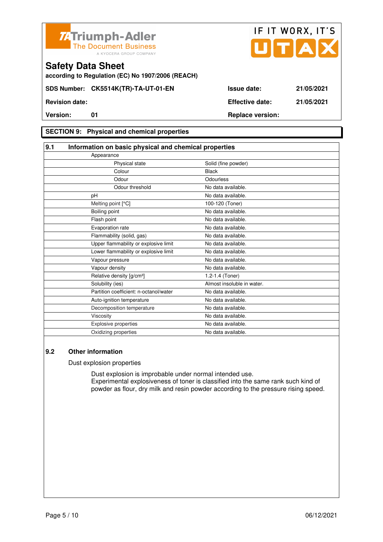



**according to Regulation (EC) No 1907/2006 (REACH)**

# **SECTION 9: Physical and chemical properties**

| 9.1                                    | Information on basic physical and chemical properties |  |  |
|----------------------------------------|-------------------------------------------------------|--|--|
| Appearance                             |                                                       |  |  |
| Physical state                         | Solid (fine powder)                                   |  |  |
| Colour                                 | <b>Black</b>                                          |  |  |
| Odour                                  | Odourless                                             |  |  |
| Odour threshold                        | No data available.                                    |  |  |
| pH                                     | No data available.                                    |  |  |
| Melting point [°C]                     | 100-120 (Toner)                                       |  |  |
| Boiling point                          | No data available.                                    |  |  |
| Flash point                            | No data available.                                    |  |  |
| Evaporation rate                       | No data available.                                    |  |  |
| Flammability (solid, gas)              | No data available.                                    |  |  |
| Upper flammability or explosive limit  | No data available.                                    |  |  |
| Lower flammability or explosive limit  | No data available.                                    |  |  |
| Vapour pressure                        | No data available.                                    |  |  |
| Vapour density                         | No data available.                                    |  |  |
| Relative density [g/cm <sup>3</sup> ]  | 1.2-1.4 (Toner)                                       |  |  |
| Solubility (ies)                       | Almost insoluble in water.                            |  |  |
| Partition coefficient: n-octanol/water | No data available.                                    |  |  |
| Auto-ignition temperature              | No data available.                                    |  |  |
| Decomposition temperature              | No data available.                                    |  |  |
| Viscosity                              | No data available.                                    |  |  |
| <b>Explosive properties</b>            | No data available.                                    |  |  |
| Oxidizing properties                   | No data available.                                    |  |  |

## **9.2 Other information**

Dust explosion properties

 Dust explosion is improbable under normal intended use. Experimental explosiveness of toner is classified into the same rank such kind of powder as flour, dry milk and resin powder according to the pressure rising speed.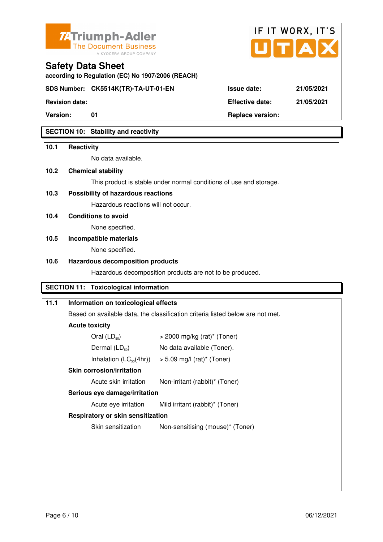



**Version:** 01 **Replace version:** 

**SECTION 10: Stability and reactivity** 

# **10.1 Reactivity**

No data available.

**according to Regulation (EC) No 1907/2006 (REACH)**

# **10.2 Chemical stability**

**Safety Data Sheet** 

This product is stable under normal conditions of use and storage.

# **10.3 Possibility of hazardous reactions**

Hazardous reactions will not occur.

**10.4 Conditions to avoid** 

None specified.

# **10.5 Incompatible materials**

None specified.

# **10.6 Hazardous decomposition products**

Hazardous decomposition products are not to be produced.

# **SECTION 11: Toxicological information**

# **11.1 Information on toxicological effects**  Based on available data, the classification criteria listed below are not met. **Acute toxicity**  Oral  $(LD_{50})$   $> 2000$  mg/kg (rat)<sup>\*</sup> (Toner) Dermal  $(LD_{50})$  No data available (Toner). Inhalation  $(LC_{50}(4hr))$  > 5.09 mg/l (rat)\* (Toner)  **Skin corrosion/irritation** Acute skin irritation Non-irritant (rabbit)\* (Toner)  **Serious eye damage/irritation** Acute eye irritation Mild irritant (rabbit)\* (Toner)  **Respiratory or skin sensitization**  Skin sensitization Non-sensitising (mouse)<sup>\*</sup> (Toner)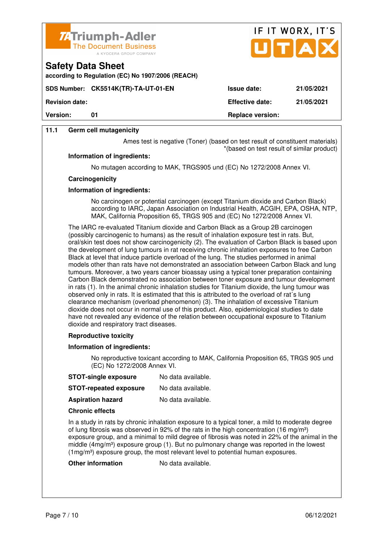



**according to Regulation (EC) No 1907/2006 (REACH)**

**SDS Number: CK5514K(TR)-TA-UT-01-EN Issue date: 21/05/2021** 

**Revision date: Effective date: 21/05/2021 Version:** 01 **Replace version:** 01

# **11.1 Germ cell mutagenicity**

Ames test is negative (Toner) (based on test result of constituent materials) \*(based on test result of similar product)

#### **Information of ingredients:**

No mutagen according to MAK, TRGS905 und (EC) No 1272/2008 Annex VI.

#### **Carcinogenicity**

#### **Information of ingredients:**

 No carcinogen or potential carcinogen (except Titanium dioxide and Carbon Black) according to IARC, Japan Association on Industrial Health, ACGIH, EPA, OSHA, NTP, MAK, California Proposition 65, TRGS 905 and (EC) No 1272/2008 Annex VI.

 The IARC re-evaluated Titanium dioxide and Carbon Black as a Group 2B carcinogen (possibly carcinogenic to humans) as the result of inhalation exposure test in rats. But, oral/skin test does not show carcinogenicity (2). The evaluation of Carbon Black is based upon the development of lung tumours in rat receiving chronic inhalation exposures to free Carbon Black at level that induce particle overload of the lung. The studies performed in animal models other than rats have not demonstrated an association between Carbon Black and lung tumours. Moreover, a two years cancer bioassay using a typical toner preparation containing Carbon Black demonstrated no association between toner exposure and tumour development in rats (1). In the animal chronic inhalation studies for Titanium dioxide, the lung tumour was observed only in rats. It is estimated that this is attributed to the overload of rat´s lung clearance mechanism (overload phenomenon) (3). The inhalation of excessive Titanium dioxide does not occur in normal use of this product. Also, epidemiological studies to date have not revealed any evidence of the relation between occupational exposure to Titanium dioxide and respiratory tract diseases.

#### **Reproductive toxicity**

#### **Information of ingredients:**

 No reproductive toxicant according to MAK, California Proposition 65, TRGS 905 und (EC) No 1272/2008 Annex VI.

**STOT-repeated exposure** No data available.

**Aspiration hazard** No data available.

#### **Chronic effects**

 In a study in rats by chronic inhalation exposure to a typical toner, a mild to moderate degree of lung fibrosis was observed in 92% of the rats in the high concentration (16 mg/m<sup>3</sup>) exposure group, and a minimal to mild degree of fibrosis was noted in 22% of the animal in the middle  $(4mg/m<sup>3</sup>)$  exposure group (1). But no pulmonary change was reported in the lowest (1mg/m³) exposure group, the most relevant level to potential human exposures.

#### **Other information** No data available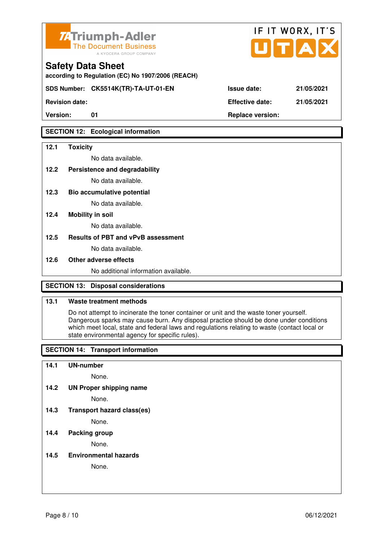

**according to Regulation (EC) No 1907/2006 (REACH)**

**SDS Number: CK5514K(TR)-TA-UT-01-EN Issue date: 21/05/2021** 

**Revision date: Effective date: 21/05/2021** 

# **SECTION 12: Ecological information**

### **12.1 Toxicity**

No data available.

**12.2 Persistence and degradability** 

No data available.

**12.3 Bio accumulative potential** 

No data available.

### **12.4 Mobility in soil**

No data available.

### **12.5 Results of PBT and vPvB assessment**

No data available.

#### **12.6 Other adverse effects**

No additional information available.

# **SECTION 13: Disposal considerations**

### **13.1 Waste treatment methods**

 Do not attempt to incinerate the toner container or unit and the waste toner yourself. Dangerous sparks may cause burn. Any disposal practice should be done under conditions which meet local, state and federal laws and regulations relating to waste (contact local or state environmental agency for specific rules).

# **SECTION 14: Transport information**

#### **14.1 UN-number**

None.

**14.2 UN Proper shipping name** 

None.

**14.3 Transport hazard class(es)** 

None.

# **14.4 Packing group**

None.

**14.5 Environmental hazards** 

None.

| ue date: |  |  |  | 21/05/20 |  |
|----------|--|--|--|----------|--|
|          |  |  |  |          |  |

IF IT WORX, IT'S

Version: 01 01 **Replace version: Replace version:**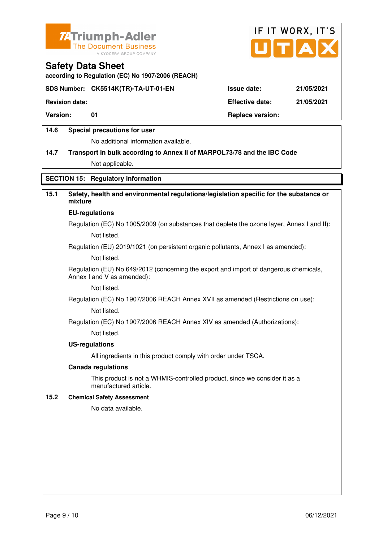



**according to Regulation (EC) No 1907/2006 (REACH)**

# **SDS Number: CK5514K(TR)-TA-UT-01-EN Issue date: 21/05/2021**

**Revision date: Effective date: 21/05/2021** 

Version: 01 01 **Replace version:** 

### **14.6 Special precautions for user**

No additional information available.

# **14.7 Transport in bulk according to Annex II of MARPOL73/78 and the IBC Code**

Not applicable.

# **SECTION 15: Regulatory information**

# **15.1 Safety, health and environmental regulations/legislation specific for the substance or mixture**

#### **EU-regulations**

Regulation (EC) No 1005/2009 (on substances that deplete the ozone layer, Annex I and II): Not listed.

Regulation (EU) 2019/1021 (on persistent organic pollutants, Annex I as amended):

Not listed.

 Regulation (EU) No 649/2012 (concerning the export and import of dangerous chemicals, Annex I and V as amended):

Not listed.

 Regulation (EC) No 1907/2006 REACH Annex XVII as amended (Restrictions on use): Not listed.

Regulation (EC) No 1907/2006 REACH Annex XIV as amended (Authorizations):

Not listed.

#### **US-regulations**

All ingredients in this product comply with order under TSCA.

#### **Canada regulations**

 This product is not a WHMIS-controlled product, since we consider it as a manufactured article.

#### **15.2 Chemical Safety Assessment**

No data available.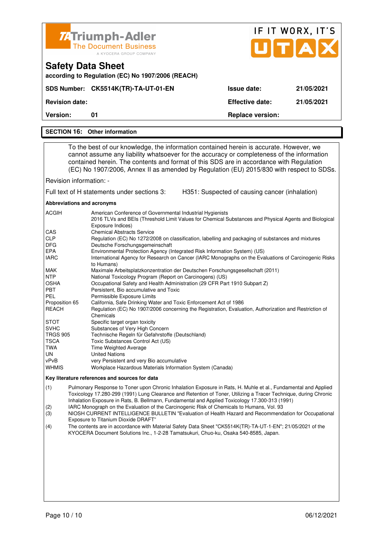|                                                                                                                                                                                                                                                                                                                                                                                                                                                 | <b>74 Triumph-Adler</b>                                                                                                                                                                                                                                                                                                                                                                                                                                                                                                                                                                                                                                                                                                                                                                                                                                                                                                                                                                                                                                                                                                                                                                                                                                                                                                                                                                                                            |                                                | IF IT WORX, IT'S |  |  |
|-------------------------------------------------------------------------------------------------------------------------------------------------------------------------------------------------------------------------------------------------------------------------------------------------------------------------------------------------------------------------------------------------------------------------------------------------|------------------------------------------------------------------------------------------------------------------------------------------------------------------------------------------------------------------------------------------------------------------------------------------------------------------------------------------------------------------------------------------------------------------------------------------------------------------------------------------------------------------------------------------------------------------------------------------------------------------------------------------------------------------------------------------------------------------------------------------------------------------------------------------------------------------------------------------------------------------------------------------------------------------------------------------------------------------------------------------------------------------------------------------------------------------------------------------------------------------------------------------------------------------------------------------------------------------------------------------------------------------------------------------------------------------------------------------------------------------------------------------------------------------------------------|------------------------------------------------|------------------|--|--|
|                                                                                                                                                                                                                                                                                                                                                                                                                                                 | <b>The Document Business</b><br>A KYOCERA GROUP COMPANY                                                                                                                                                                                                                                                                                                                                                                                                                                                                                                                                                                                                                                                                                                                                                                                                                                                                                                                                                                                                                                                                                                                                                                                                                                                                                                                                                                            |                                                | UTAD             |  |  |
| <b>Safety Data Sheet</b><br>according to Regulation (EC) No 1907/2006 (REACH)                                                                                                                                                                                                                                                                                                                                                                   |                                                                                                                                                                                                                                                                                                                                                                                                                                                                                                                                                                                                                                                                                                                                                                                                                                                                                                                                                                                                                                                                                                                                                                                                                                                                                                                                                                                                                                    |                                                |                  |  |  |
|                                                                                                                                                                                                                                                                                                                                                                                                                                                 | SDS Number: CK5514K(TR)-TA-UT-01-EN                                                                                                                                                                                                                                                                                                                                                                                                                                                                                                                                                                                                                                                                                                                                                                                                                                                                                                                                                                                                                                                                                                                                                                                                                                                                                                                                                                                                | <b>Issue date:</b>                             | 21/05/2021       |  |  |
| <b>Revision date:</b>                                                                                                                                                                                                                                                                                                                                                                                                                           |                                                                                                                                                                                                                                                                                                                                                                                                                                                                                                                                                                                                                                                                                                                                                                                                                                                                                                                                                                                                                                                                                                                                                                                                                                                                                                                                                                                                                                    | <b>Effective date:</b>                         | 21/05/2021       |  |  |
| Version:                                                                                                                                                                                                                                                                                                                                                                                                                                        | 01                                                                                                                                                                                                                                                                                                                                                                                                                                                                                                                                                                                                                                                                                                                                                                                                                                                                                                                                                                                                                                                                                                                                                                                                                                                                                                                                                                                                                                 | <b>Replace version:</b>                        |                  |  |  |
|                                                                                                                                                                                                                                                                                                                                                                                                                                                 | <b>SECTION 16: Other information</b>                                                                                                                                                                                                                                                                                                                                                                                                                                                                                                                                                                                                                                                                                                                                                                                                                                                                                                                                                                                                                                                                                                                                                                                                                                                                                                                                                                                               |                                                |                  |  |  |
|                                                                                                                                                                                                                                                                                                                                                                                                                                                 |                                                                                                                                                                                                                                                                                                                                                                                                                                                                                                                                                                                                                                                                                                                                                                                                                                                                                                                                                                                                                                                                                                                                                                                                                                                                                                                                                                                                                                    |                                                |                  |  |  |
| To the best of our knowledge, the information contained herein is accurate. However, we<br>cannot assume any liability whatsoever for the accuracy or completeness of the information<br>contained herein. The contents and format of this SDS are in accordance with Regulation<br>(EC) No 1907/2006, Annex II as amended by Regulation (EU) 2015/830 with respect to SDSs.                                                                    |                                                                                                                                                                                                                                                                                                                                                                                                                                                                                                                                                                                                                                                                                                                                                                                                                                                                                                                                                                                                                                                                                                                                                                                                                                                                                                                                                                                                                                    |                                                |                  |  |  |
| Revision information: -                                                                                                                                                                                                                                                                                                                                                                                                                         |                                                                                                                                                                                                                                                                                                                                                                                                                                                                                                                                                                                                                                                                                                                                                                                                                                                                                                                                                                                                                                                                                                                                                                                                                                                                                                                                                                                                                                    |                                                |                  |  |  |
|                                                                                                                                                                                                                                                                                                                                                                                                                                                 | Full text of H statements under sections 3:                                                                                                                                                                                                                                                                                                                                                                                                                                                                                                                                                                                                                                                                                                                                                                                                                                                                                                                                                                                                                                                                                                                                                                                                                                                                                                                                                                                        | H351: Suspected of causing cancer (inhalation) |                  |  |  |
|                                                                                                                                                                                                                                                                                                                                                                                                                                                 |                                                                                                                                                                                                                                                                                                                                                                                                                                                                                                                                                                                                                                                                                                                                                                                                                                                                                                                                                                                                                                                                                                                                                                                                                                                                                                                                                                                                                                    |                                                |                  |  |  |
| ACGIH<br>CAS<br><b>CLP</b><br><b>DFG</b><br>EPA<br><b>IARC</b><br>MAK<br><b>NTP</b><br>OSHA<br>PBT<br><b>PEL</b><br>Proposition 65<br>REACH<br><b>STOT</b><br><b>SVHC</b><br><b>TRGS 905</b><br><b>TSCA</b><br><b>TWA</b><br>UN<br>vPvB<br>WHMIS                                                                                                                                                                                                | Abbreviations and acronyms<br>American Conference of Governmental Industrial Hygienists<br>2016 TLVs and BEIs (Threshold Limit Values for Chemical Substances and Physical Agents and Biological<br>Exposure Indices)<br><b>Chemical Abstracts Service</b><br>Regulation (EC) No 1272/2008 on classification, labelling and packaging of substances and mixtures<br>Deutsche Forschungsgemeinschaft<br>Environmental Protection Agency (Integrated Risk Information System) (US)<br>International Agency for Research on Cancer (IARC Monographs on the Evaluations of Carcinogenic Risks<br>to Humans)<br>Maximale Arbeitsplatzkonzentration der Deutschen Forschungsgesellschaft (2011)<br>National Toxicology Program (Report on Carcinogens) (US)<br>Occupational Safety and Health Administration (29 CFR Part 1910 Subpart Z)<br>Persistent, Bio accumulative and Toxic<br>Permissible Exposure Limits<br>California, Safe Drinking Water and Toxic Enforcement Act of 1986<br>Regulation (EC) No 1907/2006 concerning the Registration, Evaluation, Authorization and Restriction of<br>Chemicals<br>Specific target organ toxicity<br>Substances of Very High Concern<br>Technische Regeln für Gefahrstoffe (Deutschland)<br>Toxic Substances Control Act (US)<br>Time Weighted Average<br><b>United Nations</b><br>very Persistent and very Bio accumulative<br>Workplace Hazardous Materials Information System (Canada) |                                                |                  |  |  |
| Key literature references and sources for data                                                                                                                                                                                                                                                                                                                                                                                                  |                                                                                                                                                                                                                                                                                                                                                                                                                                                                                                                                                                                                                                                                                                                                                                                                                                                                                                                                                                                                                                                                                                                                                                                                                                                                                                                                                                                                                                    |                                                |                  |  |  |
| (1)<br>Pulmonary Response to Toner upon Chronic Inhalation Exposure in Rats, H. Muhle et al., Fundamental and Applied<br>Toxicology 17.280-299 (1991) Lung Clearance and Retention of Toner, Utilizing a Tracer Technique, during Chronic<br>Inhalation Exposure in Rats, B. Bellmann, Fundamental and Applied Toxicology 17.300-313 (1991)<br>IARC Monograph on the Evaluation of the Carcinogenic Risk of Chemicals to Humans, Vol. 93<br>(2) |                                                                                                                                                                                                                                                                                                                                                                                                                                                                                                                                                                                                                                                                                                                                                                                                                                                                                                                                                                                                                                                                                                                                                                                                                                                                                                                                                                                                                                    |                                                |                  |  |  |

(3) NIOSH CURRENT INTELLIGENCE BULLETIN "Evaluation of Health Hazard and Recommendation for Occupational Exposure to Titanium Dioxide DRAFT"<br>(4) The contents are in accordance with M

(4) The contents are in accordance with Material Safety Data Sheet "CK5514K(TR)-TA-UT-1-EN"; 21/05/2021 of the KYOCERA Document Solutions Inc., 1-2-28 Tamatsukuri, Chuo-ku, Osaka 540-8585, Japan.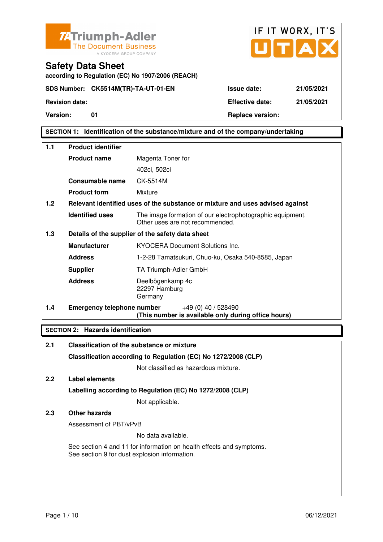



**SECTION 1: Identification of the substance/mixture and of the company/undertaking** 

| $1.1$ | <b>Product identifier</b>         |                                                                                              |  |  |
|-------|-----------------------------------|----------------------------------------------------------------------------------------------|--|--|
|       | <b>Product name</b>               | Magenta Toner for                                                                            |  |  |
|       |                                   | 402ci, 502ci                                                                                 |  |  |
|       | <b>Consumable name</b>            | CK-5514M                                                                                     |  |  |
|       | <b>Product form</b>               | Mixture                                                                                      |  |  |
| 1.2   |                                   | Relevant identified uses of the substance or mixture and uses advised against                |  |  |
|       | <b>Identified uses</b>            | The image formation of our electrophotographic equipment.<br>Other uses are not recommended. |  |  |
| 1.3   |                                   | Details of the supplier of the safety data sheet                                             |  |  |
|       | <b>Manufacturer</b>               | KYOCERA Document Solutions Inc.                                                              |  |  |
|       | <b>Address</b>                    | 1-2-28 Tamatsukuri, Chuo-ku, Osaka 540-8585, Japan                                           |  |  |
|       | <b>Supplier</b>                   | TA Triumph-Adler GmbH                                                                        |  |  |
|       | <b>Address</b>                    | Deelbögenkamp 4c<br>22297 Hamburg<br>Germany                                                 |  |  |
| 1.4   | <b>Emergency telephone number</b> | +49 (0) 40 / 528490<br>$\sim$                                                                |  |  |

**(This number is available only during office hours)**

# **SECTION 2: Hazards identification**

| 2.1 | Classification of the substance or mixture                                                                            |  |  |
|-----|-----------------------------------------------------------------------------------------------------------------------|--|--|
|     | Classification according to Regulation (EC) No 1272/2008 (CLP)                                                        |  |  |
|     | Not classified as hazardous mixture.                                                                                  |  |  |
| 2.2 | Label elements                                                                                                        |  |  |
|     | Labelling according to Regulation (EC) No 1272/2008 (CLP)                                                             |  |  |
|     | Not applicable.                                                                                                       |  |  |
| 2.3 | Other hazards                                                                                                         |  |  |
|     | Assessment of PBT/vPvB                                                                                                |  |  |
|     | No data available.                                                                                                    |  |  |
|     | See section 4 and 11 for information on health effects and symptoms.<br>See section 9 for dust explosion information. |  |  |
|     |                                                                                                                       |  |  |
|     |                                                                                                                       |  |  |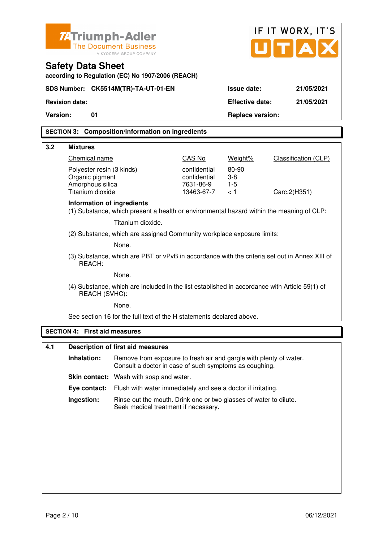| Z-Triumph-Adler<br><b>The Document Business</b><br>A KYOCERA GROUP COMPANY                                     |                                                                                                         |                                                                                                                              |                           |                         | IF IT WORX, IT'S<br>UTA     |  |
|----------------------------------------------------------------------------------------------------------------|---------------------------------------------------------------------------------------------------------|------------------------------------------------------------------------------------------------------------------------------|---------------------------|-------------------------|-----------------------------|--|
| <b>Safety Data Sheet</b><br>according to Regulation (EC) No 1907/2006 (REACH)                                  |                                                                                                         |                                                                                                                              |                           |                         |                             |  |
|                                                                                                                |                                                                                                         | SDS Number: CK5514M(TR)-TA-UT-01-EN                                                                                          |                           | Issue date:             | 21/05/2021                  |  |
|                                                                                                                | <b>Revision date:</b>                                                                                   |                                                                                                                              |                           | <b>Effective date:</b>  | 21/05/2021                  |  |
| <b>Version:</b>                                                                                                | 01                                                                                                      |                                                                                                                              |                           | <b>Replace version:</b> |                             |  |
|                                                                                                                |                                                                                                         | <b>SECTION 3: Composition/information on ingredients</b>                                                                     |                           |                         |                             |  |
| 3.2                                                                                                            | <b>Mixtures</b>                                                                                         |                                                                                                                              |                           |                         |                             |  |
|                                                                                                                | Chemical name                                                                                           |                                                                                                                              | CAS No                    | Weight%                 | <b>Classification (CLP)</b> |  |
|                                                                                                                | Polyester resin (3 kinds)                                                                               |                                                                                                                              | confidential              | 80-90                   |                             |  |
|                                                                                                                | Organic pigment<br>Amorphous silica                                                                     |                                                                                                                              | confidential<br>7631-86-9 | $3 - 8$<br>$1-5$        |                             |  |
|                                                                                                                | Titanium dioxide                                                                                        |                                                                                                                              | 13463-67-7                | < 1                     | Carc.2(H351)                |  |
|                                                                                                                | Information of ingredients                                                                              | (1) Substance, which present a health or environmental hazard within the meaning of CLP:                                     |                           |                         |                             |  |
|                                                                                                                |                                                                                                         | Titanium dioxide.                                                                                                            |                           |                         |                             |  |
|                                                                                                                | (2) Substance, which are assigned Community workplace exposure limits:                                  |                                                                                                                              |                           |                         |                             |  |
|                                                                                                                | None.                                                                                                   |                                                                                                                              |                           |                         |                             |  |
|                                                                                                                | (3) Substance, which are PBT or vPvB in accordance with the criteria set out in Annex XIII of<br>REACH: |                                                                                                                              |                           |                         |                             |  |
|                                                                                                                | None.                                                                                                   |                                                                                                                              |                           |                         |                             |  |
| (4) Substance, which are included in the list established in accordance with Article 59(1) of<br>REACH (SVHC): |                                                                                                         |                                                                                                                              |                           |                         |                             |  |
| None.                                                                                                          |                                                                                                         |                                                                                                                              |                           |                         |                             |  |
|                                                                                                                |                                                                                                         | See section 16 for the full text of the H statements declared above.                                                         |                           |                         |                             |  |
| <b>SECTION 4:</b>                                                                                              |                                                                                                         | <b>First aid measures</b>                                                                                                    |                           |                         |                             |  |
| 4.1                                                                                                            |                                                                                                         | <b>Description of first aid measures</b>                                                                                     |                           |                         |                             |  |
|                                                                                                                | Inhalation:                                                                                             | Remove from exposure to fresh air and gargle with plenty of water.<br>Consult a doctor in case of such symptoms as coughing. |                           |                         |                             |  |
|                                                                                                                |                                                                                                         | Skin contact: Wash with soap and water.                                                                                      |                           |                         |                             |  |
|                                                                                                                | Eye contact:                                                                                            | Flush with water immediately and see a doctor if irritating.                                                                 |                           |                         |                             |  |
|                                                                                                                | Ingestion:                                                                                              | Rinse out the mouth. Drink one or two glasses of water to dilute.<br>Seek medical treatment if necessary.                    |                           |                         |                             |  |
|                                                                                                                |                                                                                                         |                                                                                                                              |                           |                         |                             |  |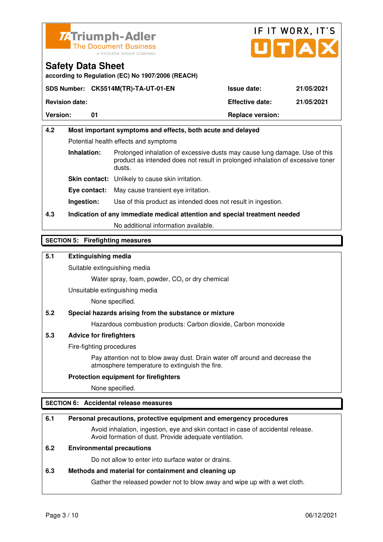



**according to Regulation (EC) No 1907/2006 (REACH)**

| <b>Version:</b>       |                                     | <b>Replace version:</b> |            |
|-----------------------|-------------------------------------|-------------------------|------------|
| <b>Revision date:</b> |                                     | <b>Effective date:</b>  | 21/05/2021 |
|                       | SDS Number: CK5514M(TR)-TA-UT-01-EN | <b>Issue date:</b>      | 21/05/2021 |

# **4.2 Most important symptoms and effects, both acute and delayed**  Potential health effects and symptoms **Inhalation:** Prolonged inhalation of excessive dusts may cause lung damage. Use of this product as intended does not result in prolonged inhalation of excessive toner dusts. **Skin contact:** Unlikely to cause skin irritation. **Eye contact:** May cause transient eye irritation. **Ingestion:** Use of this product as intended does not result in ingestion.

**4.3 Indication of any immediate medical attention and special treatment needed** 

No additional information available.

# **SECTION 5: Firefighting measures**

# **5.1 Extinguishing media**

Suitable extinguishing media

Water spray, foam, powder,  $CO<sub>2</sub>$  or dry chemical

Unsuitable extinguishing media

None specified.

# **5.2 Special hazards arising from the substance or mixture**

Hazardous combustion products: Carbon dioxide, Carbon monoxide

# **5.3 Advice for firefighters**

Fire-fighting procedures

 Pay attention not to blow away dust. Drain water off around and decrease the atmosphere temperature to extinguish the fire.

#### **Protection equipment for firefighters**

None specified.

# **SECTION 6: Accidental release measures**

#### **6.1 Personal precautions, protective equipment and emergency procedures**

 Avoid inhalation, ingestion, eye and skin contact in case of accidental release. Avoid formation of dust. Provide adequate ventilation.

# **6.2 Environmental precautions**

Do not allow to enter into surface water or drains.

#### **6.3 Methods and material for containment and cleaning up**

Gather the released powder not to blow away and wipe up with a wet cloth.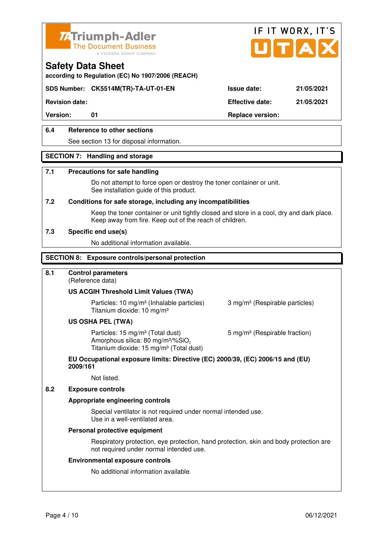



**according to Regulation (EC) No 1907/2006 (REACH)**

# **SDS Number: CK5514M(TR)-TA-UT-01-EN Issue date: 21/05/2021**

**Revision date: Effective date: 21/05/2021** 

Version: 01 01 **Replace version:** 

# **6.4 Reference to other sections**

See section 13 for disposal information.

#### **SECTION 7: Handling and storage**

#### **7.1 Precautions for safe handling**

 Do not attempt to force open or destroy the toner container or unit. See installation guide of this product.

#### **7.2 Conditions for safe storage, including any incompatibilities**

Keep the toner container or unit tightly closed and store in a cool, dry and dark place. Keep away from fire. Keep out of the reach of children.

#### **7.3 Specific end use(s)**

No additional information available.

#### **SECTION 8: Exposure controls/personal protection**

#### **8.1 Control parameters**

(Reference data)

#### **US ACGIH Threshold Limit Values (TWA)**

Particles: 10 mg/m<sup>3</sup> (Inhalable particles) 3 mg/m<sup>3</sup> (Respirable particles) Titanium dioxide: 10 mg/m³

#### **US OSHA PEL (TWA)**

Particles: 15 mg/m<sup>3</sup> (Total dust) 5 mg/m<sup>3</sup> (Respirable fraction) Amorphous silica: 80 mg/m $3\%$ SiO<sub>2</sub> Titanium dioxide: 15 mg/m<sup>3</sup> (Total dust)

#### **EU Occupational exposure limits: Directive (EC) 2000/39, (EC) 2006/15 and (EU) 2009/161**

Not listed.

#### **8.2 Exposure controls**

#### **Appropriate engineering controls**

 Special ventilator is not required under normal intended use. Use in a well-ventilated area.

#### **Personal protective equipment**

 Respiratory protection, eye protection, hand protection, skin and body protection are not required under normal intended use.

#### **Environmental exposure controls**

No additional information available.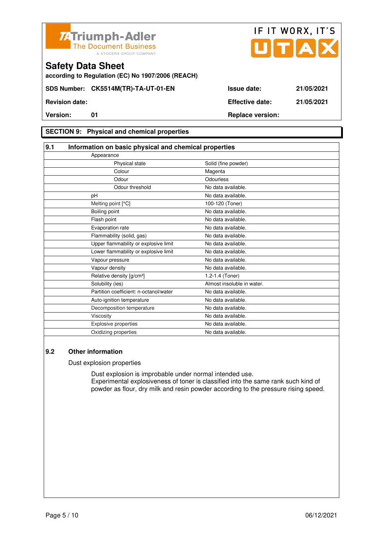



**according to Regulation (EC) No 1907/2006 (REACH)**

# **SECTION 9: Physical and chemical properties**

| 9.1                                    | Information on basic physical and chemical properties |  |  |
|----------------------------------------|-------------------------------------------------------|--|--|
| Appearance                             |                                                       |  |  |
| Physical state                         | Solid (fine powder)                                   |  |  |
| Colour                                 | Magenta                                               |  |  |
| Odour                                  | Odourless                                             |  |  |
| Odour threshold                        | No data available.                                    |  |  |
| pH                                     | No data available.                                    |  |  |
| Melting point [°C]                     | 100-120 (Toner)                                       |  |  |
| Boiling point                          | No data available.                                    |  |  |
| Flash point                            | No data available.                                    |  |  |
| Evaporation rate                       | No data available.                                    |  |  |
| Flammability (solid, gas)              | No data available.                                    |  |  |
| Upper flammability or explosive limit  | No data available.                                    |  |  |
| Lower flammability or explosive limit  | No data available.                                    |  |  |
| Vapour pressure                        | No data available.                                    |  |  |
| Vapour density                         | No data available.                                    |  |  |
| Relative density [g/cm <sup>3</sup> ]  | 1.2-1.4 (Toner)                                       |  |  |
| Solubility (ies)                       | Almost insoluble in water.                            |  |  |
| Partition coefficient: n-octanol/water | No data available.                                    |  |  |
| Auto-ignition temperature              | No data available.                                    |  |  |
| Decomposition temperature              | No data available.                                    |  |  |
| Viscosity                              | No data available.                                    |  |  |
| <b>Explosive properties</b>            | No data available.                                    |  |  |
| Oxidizing properties                   | No data available.                                    |  |  |

## **9.2 Other information**

Dust explosion properties

 Dust explosion is improbable under normal intended use. Experimental explosiveness of toner is classified into the same rank such kind of powder as flour, dry milk and resin powder according to the pressure rising speed.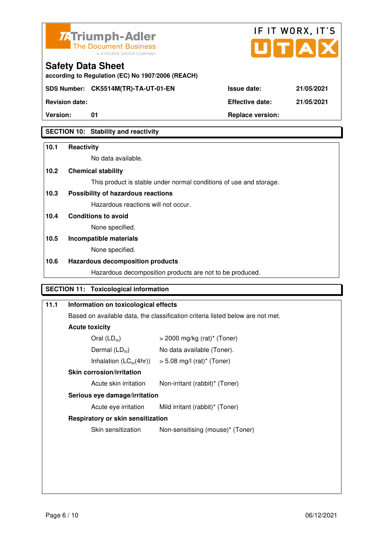



**according to Regulation (EC) No 1907/2006 (REACH)**

**Version:** 01 **Replace version:** 

# **SECTION 10: Stability and reactivity**

# **10.1 Reactivity**

No data available.

# **10.2 Chemical stability**

This product is stable under normal conditions of use and storage.

# **10.3 Possibility of hazardous reactions**

Hazardous reactions will not occur.

**10.4 Conditions to avoid** 

None specified.

# **10.5 Incompatible materials**

None specified.

# **10.6 Hazardous decomposition products**

Hazardous decomposition products are not to be produced.

# **SECTION 11: Toxicological information**

| 11.1 | Information on toxicological effects                                           |                                  |  |  |  |
|------|--------------------------------------------------------------------------------|----------------------------------|--|--|--|
|      | Based on available data, the classification criteria listed below are not met. |                                  |  |  |  |
|      | <b>Acute toxicity</b>                                                          |                                  |  |  |  |
|      | Oral $(LD_{50})$                                                               | $>$ 2000 mg/kg (rat)* (Toner)    |  |  |  |
|      | Dermal $(LD_{50})$                                                             | No data available (Toner).       |  |  |  |
|      | Inhalation $(LC_{50}(4hr))$ > 5.08 mg/l (rat) <sup>*</sup> (Toner)             |                                  |  |  |  |
|      | Skin corrosion/irritation                                                      |                                  |  |  |  |
|      | Acute skin irritation<br>Non-irritant (rabbit)* (Toner)                        |                                  |  |  |  |
|      | Serious eye damage/irritation                                                  |                                  |  |  |  |
|      | Acute eye irritation                                                           | Mild irritant (rabbit)* (Toner)  |  |  |  |
|      | <b>Respiratory or skin sensitization</b>                                       |                                  |  |  |  |
|      | Skin sensitization                                                             | Non-sensitising (mouse)* (Toner) |  |  |  |
|      |                                                                                |                                  |  |  |  |
|      |                                                                                |                                  |  |  |  |
|      |                                                                                |                                  |  |  |  |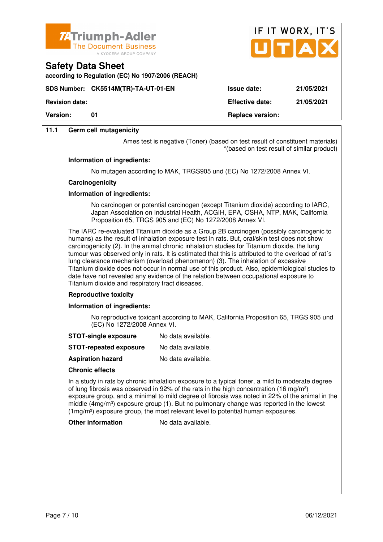

**according to Regulation (EC) No 1907/2006 (REACH)**



**SDS Number: CK5514M(TR)-TA-UT-01-EN Issue date: 21/05/2021 Revision date: Effective date: 21/05/2021 Version:** 01 **Replace version:** 01

## **11.1 Germ cell mutagenicity**

**Safety Data Sheet** 

Ames test is negative (Toner) (based on test result of constituent materials) \*(based on test result of similar product)

#### **Information of ingredients:**

No mutagen according to MAK, TRGS905 und (EC) No 1272/2008 Annex VI.

#### **Carcinogenicity**

#### **Information of ingredients:**

 No carcinogen or potential carcinogen (except Titanium dioxide) according to IARC, Japan Association on Industrial Health, ACGIH, EPA, OSHA, NTP, MAK, California Proposition 65, TRGS 905 and (EC) No 1272/2008 Annex VI.

 The IARC re-evaluated Titanium dioxide as a Group 2B carcinogen (possibly carcinogenic to humans) as the result of inhalation exposure test in rats. But, oral/skin test does not show carcinogenicity (2). In the animal chronic inhalation studies for Titanium dioxide, the lung tumour was observed only in rats. It is estimated that this is attributed to the overload of rat´s lung clearance mechanism (overload phenomenon) (3). The inhalation of excessive Titanium dioxide does not occur in normal use of this product. Also, epidemiological studies to date have not revealed any evidence of the relation between occupational exposure to Titanium dioxide and respiratory tract diseases.

#### **Reproductive toxicity**

#### **Information of ingredients:**

 No reproductive toxicant according to MAK, California Proposition 65, TRGS 905 und (EC) No 1272/2008 Annex VI.

- **STOT-single exposure** No data available.
- **STOT-repeated exposure** No data available.
- **Aspiration hazard** No data available.

#### **Chronic effects**

 In a study in rats by chronic inhalation exposure to a typical toner, a mild to moderate degree of lung fibrosis was observed in 92% of the rats in the high concentration (16 mg/m<sup>3</sup>) exposure group, and a minimal to mild degree of fibrosis was noted in 22% of the animal in the middle ( $4mg/m<sup>3</sup>$ ) exposure group (1). But no pulmonary change was reported in the lowest (1mg/m³) exposure group, the most relevant level to potential human exposures.

**Other information** No data available.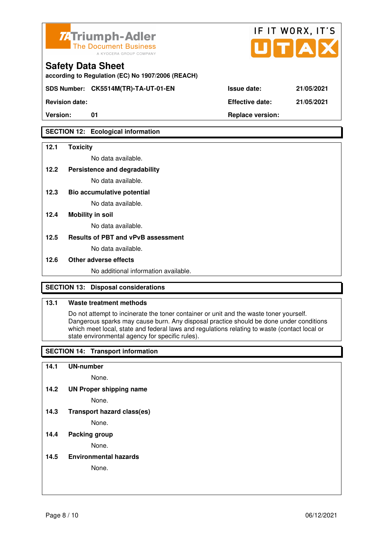

**according to Regulation (EC) No 1907/2006 (REACH)**

**SDS Number: CK5514M(TR)-TA-UT-01-EN** 

**Revision date:** 

# **SECTION 12: Ecological information**

### **12.1 Toxicity**

No data available.

**12.2 Persistence and degradability** 

No data available.

**12.3 Bio accumulative potential** 

No data available.

### **12.4 Mobility in soil**

No data available.

#### **12.5 Results of PBT and vPvB assessment**

No data available.

#### **12.6 Other adverse effects**

No additional information available.

# **SECTION 13: Disposal considerations**

# **13.1 Waste treatment methods**

 Do not attempt to incinerate the toner container or unit and the waste toner yourself. Dangerous sparks may cause burn. Any disposal practice should be done under conditions which meet local, state and federal laws and regulations relating to waste (contact local or state environmental agency for specific rules).

# **SECTION 14: Transport information**

#### **14.1 UN-number**

None.

**14.2 UN Proper shipping name** 

None.

**14.3 Transport hazard class(es)** 

None.

#### **14.4 Packing group**

None.

**14.5 Environmental hazards** 

None.

| Issue date:     | 21/05/2021 |
|-----------------|------------|
| Effective date: | 21/05/2021 |

IF IT WORX, IT'S

Version: 01 01 **Replace version:**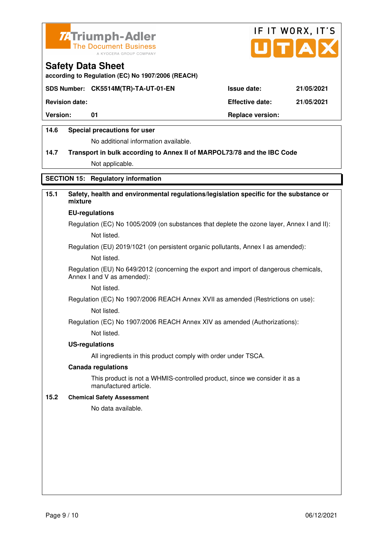



**according to Regulation (EC) No 1907/2006 (REACH)**

# **SDS Number: CK5514M(TR)-TA-UT-01-EN Issue date: 21/05/2021**

**Revision date: Effective date: 21/05/2021** 

Version: 01 01 **Replace version:** 

## **14.6 Special precautions for user**

No additional information available.

# **14.7 Transport in bulk according to Annex II of MARPOL73/78 and the IBC Code**

Not applicable.

# **SECTION 15: Regulatory information**

# **15.1 Safety, health and environmental regulations/legislation specific for the substance or mixture**

#### **EU-regulations**

Regulation (EC) No 1005/2009 (on substances that deplete the ozone layer, Annex I and II): Not listed.

Regulation (EU) 2019/1021 (on persistent organic pollutants, Annex I as amended):

Not listed.

 Regulation (EU) No 649/2012 (concerning the export and import of dangerous chemicals, Annex I and V as amended):

Not listed.

 Regulation (EC) No 1907/2006 REACH Annex XVII as amended (Restrictions on use): Not listed.

Regulation (EC) No 1907/2006 REACH Annex XIV as amended (Authorizations):

Not listed.

#### **US-regulations**

All ingredients in this product comply with order under TSCA.

#### **Canada regulations**

 This product is not a WHMIS-controlled product, since we consider it as a manufactured article.

#### **15.2 Chemical Safety Assessment**

No data available.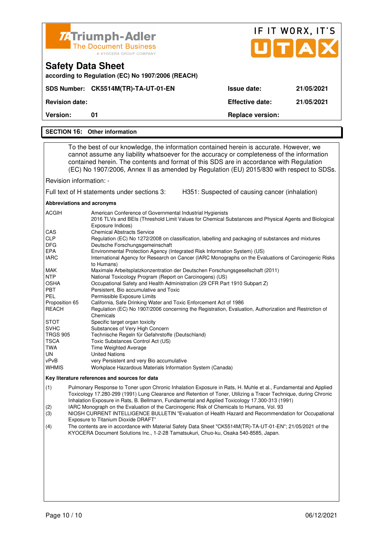|                                                                                                                                                                                                                                                                                                                                                                                                                                                                                                                                                                                                                                                                                                                                                                                                                                                                                                                                                                                                                                                                                                                                                                                                                                                                                                                                                                                                                                                                                                                                                                                                                                                          | <b>74 Triumph-Adler</b><br><b>The Document Business</b><br>A KYOCERA GROUP COMPANY |                                                | IF IT WORX, IT'S<br>UTAD |
|----------------------------------------------------------------------------------------------------------------------------------------------------------------------------------------------------------------------------------------------------------------------------------------------------------------------------------------------------------------------------------------------------------------------------------------------------------------------------------------------------------------------------------------------------------------------------------------------------------------------------------------------------------------------------------------------------------------------------------------------------------------------------------------------------------------------------------------------------------------------------------------------------------------------------------------------------------------------------------------------------------------------------------------------------------------------------------------------------------------------------------------------------------------------------------------------------------------------------------------------------------------------------------------------------------------------------------------------------------------------------------------------------------------------------------------------------------------------------------------------------------------------------------------------------------------------------------------------------------------------------------------------------------|------------------------------------------------------------------------------------|------------------------------------------------|--------------------------|
|                                                                                                                                                                                                                                                                                                                                                                                                                                                                                                                                                                                                                                                                                                                                                                                                                                                                                                                                                                                                                                                                                                                                                                                                                                                                                                                                                                                                                                                                                                                                                                                                                                                          | <b>Safety Data Sheet</b><br>according to Regulation (EC) No 1907/2006 (REACH)      |                                                |                          |
|                                                                                                                                                                                                                                                                                                                                                                                                                                                                                                                                                                                                                                                                                                                                                                                                                                                                                                                                                                                                                                                                                                                                                                                                                                                                                                                                                                                                                                                                                                                                                                                                                                                          | SDS Number: CK5514M(TR)-TA-UT-01-EN                                                | <b>Issue date:</b>                             | 21/05/2021               |
| <b>Revision date:</b>                                                                                                                                                                                                                                                                                                                                                                                                                                                                                                                                                                                                                                                                                                                                                                                                                                                                                                                                                                                                                                                                                                                                                                                                                                                                                                                                                                                                                                                                                                                                                                                                                                    |                                                                                    | <b>Effective date:</b>                         | 21/05/2021               |
| <b>Version:</b>                                                                                                                                                                                                                                                                                                                                                                                                                                                                                                                                                                                                                                                                                                                                                                                                                                                                                                                                                                                                                                                                                                                                                                                                                                                                                                                                                                                                                                                                                                                                                                                                                                          | 01                                                                                 | <b>Replace version:</b>                        |                          |
|                                                                                                                                                                                                                                                                                                                                                                                                                                                                                                                                                                                                                                                                                                                                                                                                                                                                                                                                                                                                                                                                                                                                                                                                                                                                                                                                                                                                                                                                                                                                                                                                                                                          | <b>SECTION 16: Other information</b>                                               |                                                |                          |
|                                                                                                                                                                                                                                                                                                                                                                                                                                                                                                                                                                                                                                                                                                                                                                                                                                                                                                                                                                                                                                                                                                                                                                                                                                                                                                                                                                                                                                                                                                                                                                                                                                                          |                                                                                    |                                                |                          |
| To the best of our knowledge, the information contained herein is accurate. However, we<br>cannot assume any liability whatsoever for the accuracy or completeness of the information<br>contained herein. The contents and format of this SDS are in accordance with Regulation<br>(EC) No 1907/2006, Annex II as amended by Regulation (EU) 2015/830 with respect to SDSs.                                                                                                                                                                                                                                                                                                                                                                                                                                                                                                                                                                                                                                                                                                                                                                                                                                                                                                                                                                                                                                                                                                                                                                                                                                                                             |                                                                                    |                                                |                          |
| Revision information: -                                                                                                                                                                                                                                                                                                                                                                                                                                                                                                                                                                                                                                                                                                                                                                                                                                                                                                                                                                                                                                                                                                                                                                                                                                                                                                                                                                                                                                                                                                                                                                                                                                  |                                                                                    |                                                |                          |
|                                                                                                                                                                                                                                                                                                                                                                                                                                                                                                                                                                                                                                                                                                                                                                                                                                                                                                                                                                                                                                                                                                                                                                                                                                                                                                                                                                                                                                                                                                                                                                                                                                                          | Full text of H statements under sections 3:                                        | H351: Suspected of causing cancer (inhalation) |                          |
| Abbreviations and acronyms                                                                                                                                                                                                                                                                                                                                                                                                                                                                                                                                                                                                                                                                                                                                                                                                                                                                                                                                                                                                                                                                                                                                                                                                                                                                                                                                                                                                                                                                                                                                                                                                                               |                                                                                    |                                                |                          |
| <b>ACGIH</b><br>American Conference of Governmental Industrial Hygienists<br>2016 TLVs and BEIs (Threshold Limit Values for Chemical Substances and Physical Agents and Biological<br>Exposure Indices)<br>CAS<br><b>Chemical Abstracts Service</b><br><b>CLP</b><br>Regulation (EC) No 1272/2008 on classification, labelling and packaging of substances and mixtures<br>DFG<br>Deutsche Forschungsgemeinschaft<br><b>EPA</b><br>Environmental Protection Agency (Integrated Risk Information System) (US)<br><b>IARC</b><br>International Agency for Research on Cancer (IARC Monographs on the Evaluations of Carcinogenic Risks<br>to Humans)<br><b>MAK</b><br>Maximale Arbeitsplatzkonzentration der Deutschen Forschungsgesellschaft (2011)<br><b>NTP</b><br>National Toxicology Program (Report on Carcinogens) (US)<br>OSHA<br>Occupational Safety and Health Administration (29 CFR Part 1910 Subpart Z)<br><b>PBT</b><br>Persistent, Bio accumulative and Toxic<br>PEL<br>Permissible Exposure Limits<br>Proposition 65<br>California, Safe Drinking Water and Toxic Enforcement Act of 1986<br><b>REACH</b><br>Regulation (EC) No 1907/2006 concerning the Registration, Evaluation, Authorization and Restriction of<br>Chemicals<br>Specific target organ toxicity<br>STOT<br><b>SVHC</b><br>Substances of Very High Concern<br><b>TRGS 905</b><br>Technische Regeln für Gefahrstoffe (Deutschland)<br>TSCA<br>Toxic Substances Control Act (US)<br>TWA<br>Time Weighted Average<br>UN<br><b>United Nations</b><br>vPvB<br>very Persistent and very Bio accumulative<br>Workplace Hazardous Materials Information System (Canada)<br>WHMIS |                                                                                    |                                                |                          |
| Key literature references and sources for data<br>Pulmonary Response to Toner upon Chronic Inhalation Exposure in Rats, H. Muhle et al., Fundamental and Applied<br>(1)                                                                                                                                                                                                                                                                                                                                                                                                                                                                                                                                                                                                                                                                                                                                                                                                                                                                                                                                                                                                                                                                                                                                                                                                                                                                                                                                                                                                                                                                                  |                                                                                    |                                                |                          |
| Toxicology 17.280-299 (1991) Lung Clearance and Retention of Toner, Utilizing a Tracer Technique, during Chronic<br>Inhalation Exposure in Rats, B. Bellmann, Fundamental and Applied Toxicology 17.300-313 (1991)                                                                                                                                                                                                                                                                                                                                                                                                                                                                                                                                                                                                                                                                                                                                                                                                                                                                                                                                                                                                                                                                                                                                                                                                                                                                                                                                                                                                                                       |                                                                                    |                                                |                          |

- (2) IARC Monograph on the Evaluation of the Carcinogenic Risk of Chemicals to Humans, Vol. 93
- (3) NIOSH CURRENT INTELLIGENCE BULLETIN "Evaluation of Health Hazard and Recommendation for Occupational Exposure to Titanium Dioxide DRAFT"<br>(4) The contents are in accordance with M
- (4) The contents are in accordance with Material Safety Data Sheet "CK5514M(TR)-TA-UT-01-EN"; 21/05/2021 of the KYOCERA Document Solutions Inc., 1-2-28 Tamatsukuri, Chuo-ku, Osaka 540-8585, Japan.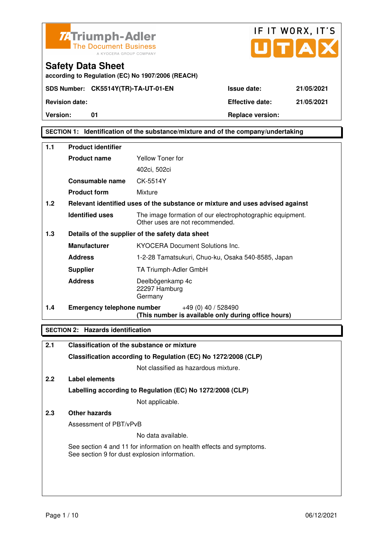



**according to Regulation (EC) No 1907/2006 (REACH)**

# **SECTION 1: Identification of the substance/mixture and of the company/undertaking**

| 1.1 | <b>Product identifier</b>         |                                                                                              |  |
|-----|-----------------------------------|----------------------------------------------------------------------------------------------|--|
|     | <b>Product name</b>               | Yellow Toner for                                                                             |  |
|     |                                   | 402ci, 502ci                                                                                 |  |
|     | Consumable name                   | CK-5514Y                                                                                     |  |
|     | <b>Product form</b>               | Mixture                                                                                      |  |
| 1.2 |                                   | Relevant identified uses of the substance or mixture and uses advised against                |  |
|     | <b>Identified uses</b>            | The image formation of our electrophotographic equipment.<br>Other uses are not recommended. |  |
| 1.3 |                                   | Details of the supplier of the safety data sheet                                             |  |
|     | <b>Manufacturer</b>               | <b>KYOCERA Document Solutions Inc.</b>                                                       |  |
|     | <b>Address</b>                    | 1-2-28 Tamatsukuri, Chuo-ku, Osaka 540-8585, Japan                                           |  |
|     | <b>Supplier</b>                   | TA Triumph-Adler GmbH                                                                        |  |
|     | <b>Address</b>                    | Deelbögenkamp 4c<br>22297 Hamburg<br>Germany                                                 |  |
| 1.4 | <b>Emergency telephone number</b> | $+49(0)$ 40 / 528490<br>(This number is available only during office hours)                  |  |

# **SECTION 2: Hazards identification**

| 2.1 | Classification of the substance or mixture                                                                            |
|-----|-----------------------------------------------------------------------------------------------------------------------|
|     | Classification according to Regulation (EC) No 1272/2008 (CLP)                                                        |
|     | Not classified as hazardous mixture.                                                                                  |
| 2.2 | Label elements                                                                                                        |
|     | Labelling according to Regulation (EC) No 1272/2008 (CLP)                                                             |
|     | Not applicable.                                                                                                       |
| 2.3 | Other hazards                                                                                                         |
|     | Assessment of PBT/vPvB                                                                                                |
|     | No data available.                                                                                                    |
|     | See section 4 and 11 for information on health effects and symptoms.<br>See section 9 for dust explosion information. |
|     |                                                                                                                       |
|     |                                                                                                                       |
|     |                                                                                                                       |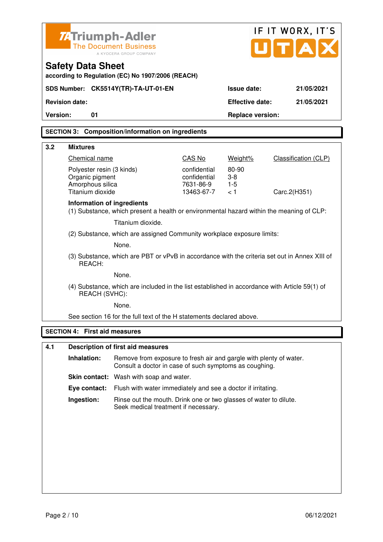|                                                                                                                               | IF IT WORX, IT'S<br><b>ZATriumph-Adler</b><br>UITIA<br><b>The Document Business</b><br>A KYOCERA GROUP COMPANY               |                         |                         |                      |  |
|-------------------------------------------------------------------------------------------------------------------------------|------------------------------------------------------------------------------------------------------------------------------|-------------------------|-------------------------|----------------------|--|
| <b>Safety Data Sheet</b><br>according to Regulation (EC) No 1907/2006 (REACH)                                                 |                                                                                                                              |                         |                         |                      |  |
| SDS Number: CK5514Y(TR)-TA-UT-01-EN                                                                                           |                                                                                                                              |                         | Issue date:             | 21/05/2021           |  |
| <b>Revision date:</b>                                                                                                         |                                                                                                                              |                         | <b>Effective date:</b>  | 21/05/2021           |  |
| <b>Version:</b><br>01                                                                                                         |                                                                                                                              |                         | <b>Replace version:</b> |                      |  |
|                                                                                                                               | <b>SECTION 3: Composition/information on ingredients</b>                                                                     |                         |                         |                      |  |
|                                                                                                                               |                                                                                                                              |                         |                         |                      |  |
| 3.2<br><b>Mixtures</b><br>Chemical name                                                                                       |                                                                                                                              | CAS No                  | Weight%                 | Classification (CLP) |  |
| Polyester resin (3 kinds)                                                                                                     |                                                                                                                              | confidential            | 80-90                   |                      |  |
| Organic pigment                                                                                                               |                                                                                                                              | confidential            | $3-8$                   |                      |  |
| Amorphous silica<br>Titanium dioxide                                                                                          |                                                                                                                              | 7631-86-9<br>13463-67-7 | $1-5$<br>< 1            | Carc.2(H351)         |  |
| <b>Information of ingredients</b><br>(1) Substance, which present a health or environmental hazard within the meaning of CLP: |                                                                                                                              |                         |                         |                      |  |
|                                                                                                                               | Titanium dioxide.                                                                                                            |                         |                         |                      |  |
|                                                                                                                               | (2) Substance, which are assigned Community workplace exposure limits:                                                       |                         |                         |                      |  |
|                                                                                                                               | None.                                                                                                                        |                         |                         |                      |  |
| REACH:                                                                                                                        | (3) Substance, which are PBT or vPvB in accordance with the criteria set out in Annex XIII of                                |                         |                         |                      |  |
|                                                                                                                               | None.                                                                                                                        |                         |                         |                      |  |
| (4) Substance, which are included in the list established in accordance with Article 59(1) of<br>REACH (SVHC):                |                                                                                                                              |                         |                         |                      |  |
|                                                                                                                               | None.                                                                                                                        |                         |                         |                      |  |
|                                                                                                                               | See section 16 for the full text of the H statements declared above.                                                         |                         |                         |                      |  |
| <b>SECTION 4: First aid measures</b>                                                                                          |                                                                                                                              |                         |                         |                      |  |
| 4.1                                                                                                                           | <b>Description of first aid measures</b>                                                                                     |                         |                         |                      |  |
| Inhalation:                                                                                                                   | Remove from exposure to fresh air and gargle with plenty of water.<br>Consult a doctor in case of such symptoms as coughing. |                         |                         |                      |  |
|                                                                                                                               | Skin contact: Wash with soap and water.                                                                                      |                         |                         |                      |  |
| Eye contact:                                                                                                                  | Flush with water immediately and see a doctor if irritating.                                                                 |                         |                         |                      |  |
| Ingestion:                                                                                                                    | Rinse out the mouth. Drink one or two glasses of water to dilute.<br>Seek medical treatment if necessary.                    |                         |                         |                      |  |
|                                                                                                                               |                                                                                                                              |                         |                         |                      |  |
|                                                                                                                               |                                                                                                                              |                         |                         |                      |  |
|                                                                                                                               |                                                                                                                              |                         |                         |                      |  |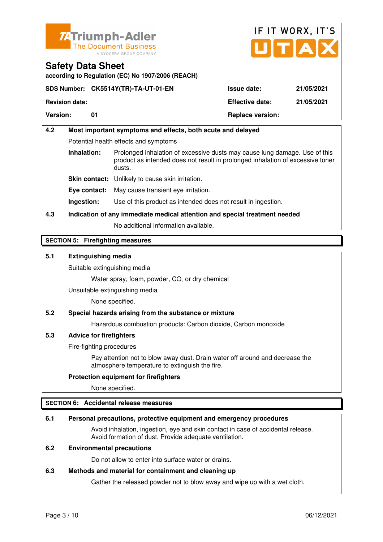



# **Safety Data Sheet according to Regulation (EC) No 1907/2006 (REACH)**

|                       | SDS Number: CK5514Y(TR)-TA-UT-01-EN | <b>Issue date:</b>      | 21/05/2021 |
|-----------------------|-------------------------------------|-------------------------|------------|
| <b>Revision date:</b> |                                     | <b>Effective date:</b>  | 21/05/2021 |
| <b>Version:</b>       |                                     | <b>Replace version:</b> |            |

# **4.2 Most important symptoms and effects, both acute and delayed**  Potential health effects and symptoms **Inhalation:** Prolonged inhalation of excessive dusts may cause lung damage. Use of this product as intended does not result in prolonged inhalation of excessive toner dusts. **Skin contact:** Unlikely to cause skin irritation. **Eye contact:** May cause transient eye irritation.

**Ingestion:** Use of this product as intended does not result in ingestion.

# **4.3 Indication of any immediate medical attention and special treatment needed**

No additional information available.

# **SECTION 5: Firefighting measures**

# **5.1 Extinguishing media**

Suitable extinguishing media

Water spray, foam, powder,  $CO<sub>2</sub>$  or dry chemical

Unsuitable extinguishing media

None specified.

# **5.2 Special hazards arising from the substance or mixture**

Hazardous combustion products: Carbon dioxide, Carbon monoxide

# **5.3 Advice for firefighters**

Fire-fighting procedures

 Pay attention not to blow away dust. Drain water off around and decrease the atmosphere temperature to extinguish the fire.

# **Protection equipment for firefighters**

None specified.

# **SECTION 6: Accidental release measures**

#### **6.1 Personal precautions, protective equipment and emergency procedures**

 Avoid inhalation, ingestion, eye and skin contact in case of accidental release. Avoid formation of dust. Provide adequate ventilation.

# **6.2 Environmental precautions**

Do not allow to enter into surface water or drains.

#### **6.3 Methods and material for containment and cleaning up**

Gather the released powder not to blow away and wipe up with a wet cloth.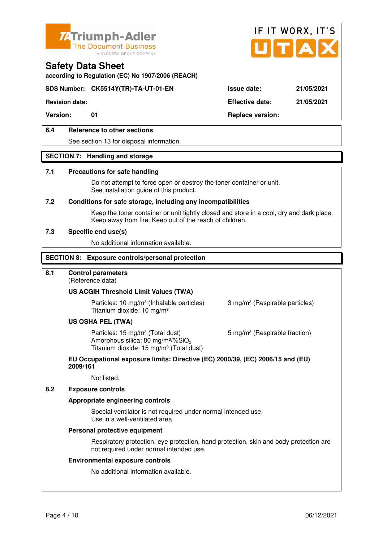



**according to Regulation (EC) No 1907/2006 (REACH)**

# **SDS Number: CK5514Y(TR)-TA-UT-01-EN Issue date: 21/05/2021**

**Revision date: Effective date: 21/05/2021** 

Version: 01 01 **Replace version:** 

# **6.4 Reference to other sections**

See section 13 for disposal information.

#### **SECTION 7: Handling and storage**

#### **7.1 Precautions for safe handling**

 Do not attempt to force open or destroy the toner container or unit. See installation guide of this product.

#### **7.2 Conditions for safe storage, including any incompatibilities**

Keep the toner container or unit tightly closed and store in a cool, dry and dark place. Keep away from fire. Keep out of the reach of children.

#### **7.3 Specific end use(s)**

No additional information available.

#### **SECTION 8: Exposure controls/personal protection**

#### **8.1 Control parameters**

(Reference data)

#### **US ACGIH Threshold Limit Values (TWA)**

Particles: 10 mg/m<sup>3</sup> (Inhalable particles) 3 mg/m<sup>3</sup> (Respirable particles) Titanium dioxide: 10 mg/m³

#### **US OSHA PEL (TWA)**

Particles: 15 mg/m<sup>3</sup> (Total dust) 5 mg/m<sup>3</sup> (Respirable fraction) Amorphous silica: 80 mg/m $3\%$ SiO<sub>2</sub> Titanium dioxide: 15 mg/m<sup>3</sup> (Total dust)

#### **EU Occupational exposure limits: Directive (EC) 2000/39, (EC) 2006/15 and (EU) 2009/161**

Not listed.

#### **8.2 Exposure controls**

#### **Appropriate engineering controls**

 Special ventilator is not required under normal intended use. Use in a well-ventilated area.

#### **Personal protective equipment**

 Respiratory protection, eye protection, hand protection, skin and body protection are not required under normal intended use.

#### **Environmental exposure controls**

No additional information available.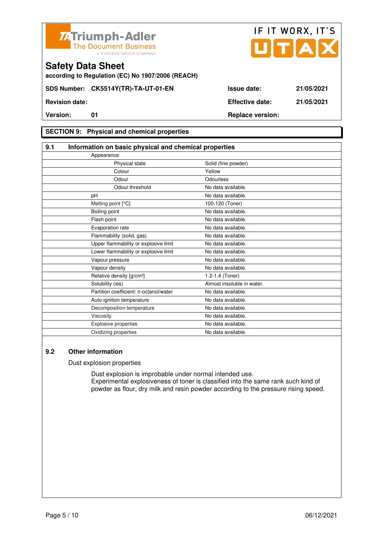



**according to Regulation (EC) No 1907/2006 (REACH)**

# **SECTION 9: Physical and chemical properties**

| 9.1                                    | Information on basic physical and chemical properties |  |  |
|----------------------------------------|-------------------------------------------------------|--|--|
| Appearance                             |                                                       |  |  |
| Physical state                         | Solid (fine powder)                                   |  |  |
| Colour                                 | Yellow                                                |  |  |
| Odour                                  | Odourless                                             |  |  |
| Odour threshold                        | No data available.                                    |  |  |
| pH                                     | No data available.                                    |  |  |
| Melting point [°C]                     | 100-120 (Toner)                                       |  |  |
| Boiling point                          | No data available.                                    |  |  |
| Flash point                            | No data available.                                    |  |  |
| Evaporation rate                       | No data available.                                    |  |  |
| Flammability (solid, gas)              | No data available.                                    |  |  |
| Upper flammability or explosive limit  | No data available.                                    |  |  |
| Lower flammability or explosive limit  | No data available.                                    |  |  |
| Vapour pressure                        | No data available.                                    |  |  |
| Vapour density                         | No data available.                                    |  |  |
| Relative density [g/cm <sup>3</sup> ]  | 1.2-1.4 (Toner)                                       |  |  |
| Solubility (ies)                       | Almost insoluble in water.                            |  |  |
| Partition coefficient: n-octanol/water | No data available.                                    |  |  |
| Auto-ignition temperature              | No data available.                                    |  |  |
| Decomposition temperature              | No data available.                                    |  |  |
| Viscosity                              | No data available.                                    |  |  |
| Explosive properties                   | No data available.                                    |  |  |
| Oxidizing properties                   | No data available.                                    |  |  |

## **9.2 Other information**

Dust explosion properties

 Dust explosion is improbable under normal intended use. Experimental explosiveness of toner is classified into the same rank such kind of powder as flour, dry milk and resin powder according to the pressure rising speed.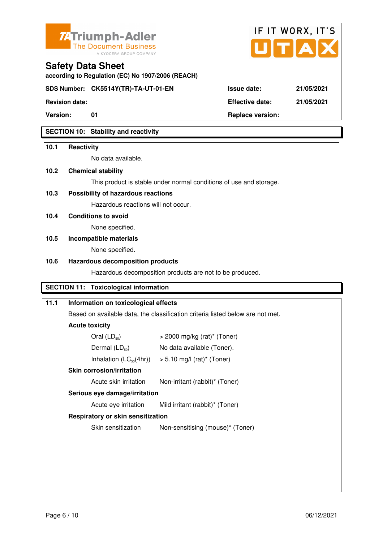



**according to Regulation (EC) No 1907/2006 (REACH)**

**Version:** 01 **Replace version:** 

**Revision date: Effective date: 21/05/2021** 

# **SECTION 10: Stability and reactivity**

# **10.1 Reactivity**

No data available.

# **10.2 Chemical stability**

**Safety Data Sheet** 

This product is stable under normal conditions of use and storage.

# **10.3 Possibility of hazardous reactions**

Hazardous reactions will not occur.

**10.4 Conditions to avoid** 

None specified.

# **10.5 Incompatible materials**

None specified.

# **10.6 Hazardous decomposition products**

Hazardous decomposition products are not to be produced.

# **SECTION 11: Toxicological information**

# **11.1 Information on toxicological effects**

Based on available data, the classification criteria listed below are not met.

# **Acute toxicity**

| Oral $(LD_{50})$            | $>$ 2000 mg/kg (rat) <sup>*</sup> (Toner) |
|-----------------------------|-------------------------------------------|
| Dermal $(LD_{50})$          | No data available (Toner).                |
| Inhalation $(LC_{50}(4hr))$ | $> 5.10$ mg/l (rat) <sup>*</sup> (Toner)  |
| Chin corrogian limitation   |                                           |

# **Skin corrosion/irritation**

Acute skin irritation Non-irritant (rabbit)\* (Toner)

# **Serious eye damage/irritation**

Acute eye irritation Mild irritant (rabbit)\* (Toner)

# **Respiratory or skin sensitization**

Skin sensitization Non-sensitising (mouse)\* (Toner)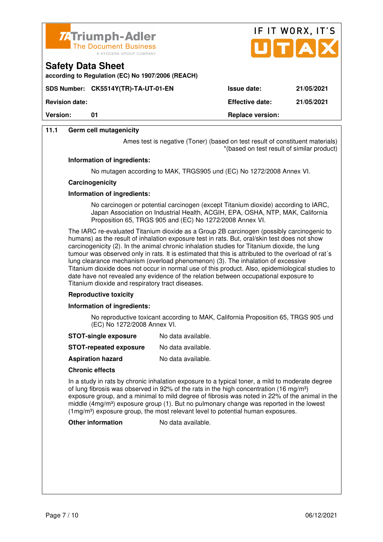

**according to Regulation (EC) No 1907/2006 (REACH)**



**Version:** 01 **Replace version:** 01

**11.1 Germ cell mutagenicity**

**Safety Data Sheet** 

Ames test is negative (Toner) (based on test result of constituent materials) \*(based on test result of similar product)

#### **Information of ingredients:**

No mutagen according to MAK, TRGS905 und (EC) No 1272/2008 Annex VI.

#### **Carcinogenicity**

### **Information of ingredients:**

 No carcinogen or potential carcinogen (except Titanium dioxide) according to IARC, Japan Association on Industrial Health, ACGIH, EPA, OSHA, NTP, MAK, California Proposition 65, TRGS 905 and (EC) No 1272/2008 Annex VI.

 The IARC re-evaluated Titanium dioxide as a Group 2B carcinogen (possibly carcinogenic to humans) as the result of inhalation exposure test in rats. But, oral/skin test does not show carcinogenicity (2). In the animal chronic inhalation studies for Titanium dioxide, the lung tumour was observed only in rats. It is estimated that this is attributed to the overload of rat´s lung clearance mechanism (overload phenomenon) (3). The inhalation of excessive Titanium dioxide does not occur in normal use of this product. Also, epidemiological studies to date have not revealed any evidence of the relation between occupational exposure to Titanium dioxide and respiratory tract diseases.

#### **Reproductive toxicity**

#### **Information of ingredients:**

 No reproductive toxicant according to MAK, California Proposition 65, TRGS 905 und (EC) No 1272/2008 Annex VI.

- **STOT-single exposure** No data available.
- **STOT-repeated exposure** No data available.
- **Aspiration hazard** No data available.

#### **Chronic effects**

 In a study in rats by chronic inhalation exposure to a typical toner, a mild to moderate degree of lung fibrosis was observed in 92% of the rats in the high concentration (16 mg/m<sup>3</sup>) exposure group, and a minimal to mild degree of fibrosis was noted in 22% of the animal in the middle ( $4mg/m<sup>3</sup>$ ) exposure group (1). But no pulmonary change was reported in the lowest (1mg/m³) exposure group, the most relevant level to potential human exposures.

**Other information** No data available.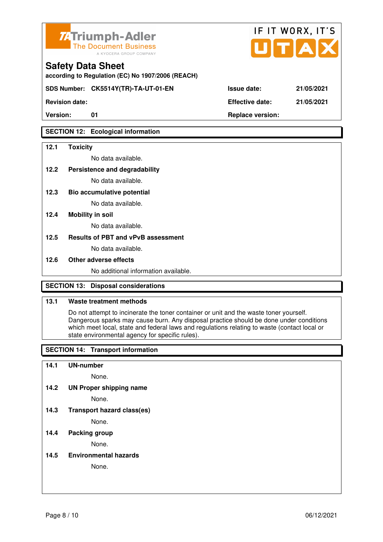

**according to Regulation (EC) No 1907/2006 (REACH)**

**SDS Number: CK5514Y(TR)-TA-UT-01-EN Issue date: 21/05/2021** 

**Revision date: Effective date: 21/05/2021** 

# **SECTION 12: Ecological information**

### **12.1 Toxicity**

No data available.

# **12.2 Persistence and degradability**

No data available.

**12.3 Bio accumulative potential** 

No data available.

### **12.4 Mobility in soil**

No data available.

#### **12.5 Results of PBT and vPvB assessment**

No data available.

#### **12.6 Other adverse effects**

No additional information available.

# **SECTION 13: Disposal considerations**

# **13.1 Waste treatment methods**

 Do not attempt to incinerate the toner container or unit and the waste toner yourself. Dangerous sparks may cause burn. Any disposal practice should be done under conditions which meet local, state and federal laws and regulations relating to waste (contact local or state environmental agency for specific rules).

# **SECTION 14: Transport information**

#### **14.1 UN-number**

None.

**14.2 UN Proper shipping name** 

None.

**14.3 Transport hazard class(es)** 

None.

# **14.4 Packing group**

None.

**14.5 Environmental hazards** 

None.

| ue date: | 21/05/20 |
|----------|----------|
|          |          |

IF IT WORX, IT'S

Version: 01 01 **Replace version: Replace version:**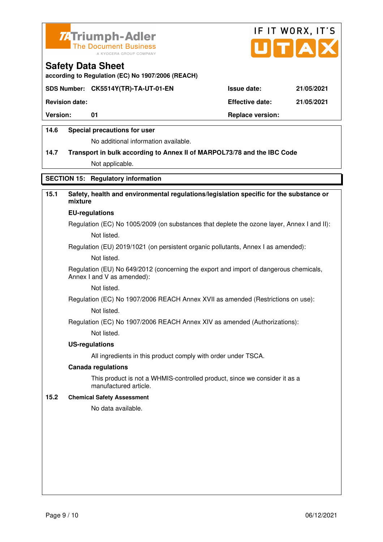



**according to Regulation (EC) No 1907/2006 (REACH)**

## **SDS Number: CK5514Y(TR)-TA-UT-01-EN Issue date: 21/05/2021**

**Revision date: Effective date: 21/05/2021** 

Version: 01 01 **Replace version:** 

## **14.6 Special precautions for user**

No additional information available.

# **14.7 Transport in bulk according to Annex II of MARPOL73/78 and the IBC Code**

Not applicable.

# **SECTION 15: Regulatory information**

# **15.1 Safety, health and environmental regulations/legislation specific for the substance or mixture**

#### **EU-regulations**

Regulation (EC) No 1005/2009 (on substances that deplete the ozone layer, Annex I and II): Not listed.

Regulation (EU) 2019/1021 (on persistent organic pollutants, Annex I as amended):

Not listed.

 Regulation (EU) No 649/2012 (concerning the export and import of dangerous chemicals, Annex I and V as amended):

Not listed.

 Regulation (EC) No 1907/2006 REACH Annex XVII as amended (Restrictions on use): Not listed.

Regulation (EC) No 1907/2006 REACH Annex XIV as amended (Authorizations):

Not listed.

#### **US-regulations**

All ingredients in this product comply with order under TSCA.

#### **Canada regulations**

 This product is not a WHMIS-controlled product, since we consider it as a manufactured article.

#### **15.2 Chemical Safety Assessment**

No data available.